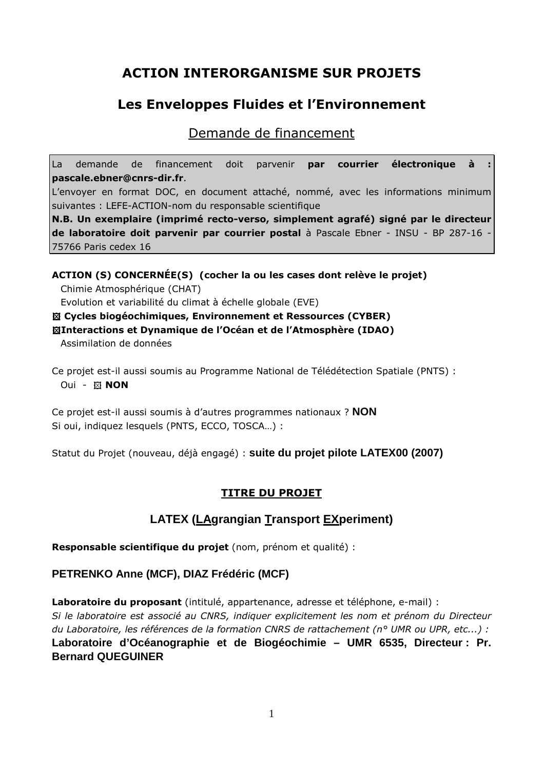# ACTION INTERORGANISME SUR PROJETS

# Les Enveloppes Fluides et l'Environnement

Demande de financement

La demande de financement doit parvenir par courrier électronique à pascale.ebner@cnrs-dir.fr.

L'envoyer en format DOC, en document attaché, nommé, avec les informations minimum suivantes : LEFE-ACTION-nom du responsable scientifique

N.B. Un exemplaire (imprimé recto-verso, simplement agrafé) signé par le directeur de laboratoire doit parvenir par courrier postal à Pascale Ebner - INSU - BP 287-16 - 75766 Paris cedex 16

ACTION (S) CONCERNÉE(S) (cocher la ou les cases dont relève le projet) Chimie Atmosphérique (CHAT) Evolution et variabilité du climat à échelle globale (EVE) Cycles biogéochimiques, Environnement et Ressources (CYBER)

Interactions et Dynamique de l'Océan et de l'Atmosphère (IDAO)

Assimilation de données

Ce projet est-il aussi soumis au Programme National de Télédétection Spatiale (PNTS) : Oui - **XX NON** 

Ce projet est-il aussi soumis à d'autres programmes nationaux ? **NON**  Si oui, indiquez lesquels (PNTS, ECCO, TOSCA…) :

Statut du Projet (nouveau, déjà engagé) : **suite du projet pilote LATEX00 (2007)** 

# TITRE DU PROJET

# **LATEX (LAgrangian Transport EXperiment)**

Responsable scientifique du projet (nom, prénom et qualité) :

# **PETRENKO Anne (MCF), DIAZ Frédéric (MCF)**

Laboratoire du proposant (intitulé, appartenance, adresse et téléphone, e-mail) :

Si le laboratoire est associé au CNRS, indiquer explicitement les nom et prénom du Directeur du Laboratoire, les références de la formation CNRS de rattachement (n° UMR ou UPR, etc...) : **Laboratoire d'Océanographie et de Biogéochimie – UMR 6535, Directeur : Pr. Bernard QUEGUINER**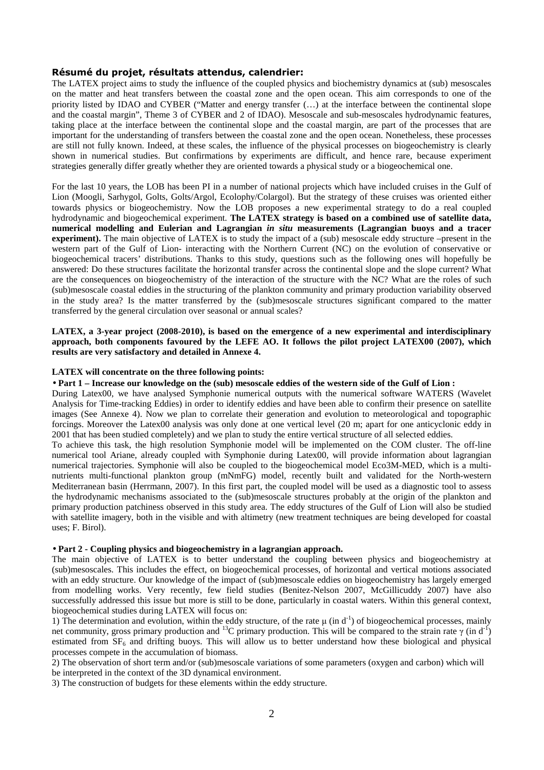#### Résumé du projet, résultats attendus, calendrier:

The LATEX project aims to study the influence of the coupled physics and biochemistry dynamics at (sub) mesoscales on the matter and heat transfers between the coastal zone and the open ocean. This aim corresponds to one of the priority listed by IDAO and CYBER ("Matter and energy transfer (…) at the interface between the continental slope and the coastal margin", Theme 3 of CYBER and 2 of IDAO). Mesoscale and sub-mesoscales hydrodynamic features, taking place at the interface between the continental slope and the coastal margin, are part of the processes that are important for the understanding of transfers between the coastal zone and the open ocean. Nonetheless, these processes are still not fully known. Indeed, at these scales, the influence of the physical processes on biogeochemistry is clearly shown in numerical studies. But confirmations by experiments are difficult, and hence rare, because experiment strategies generally differ greatly whether they are oriented towards a physical study or a biogeochemical one.

For the last 10 years, the LOB has been PI in a number of national projects which have included cruises in the Gulf of Lion (Moogli, Sarhygol, Golts, Golts/Argol, Ecolophy/Colargol). But the strategy of these cruises was oriented either towards physics or biogeochemistry. Now the LOB proposes a new experimental strategy to do a real coupled hydrodynamic and biogeochemical experiment. **The LATEX strategy is based on a combined use of satellite data, numerical modelling and Eulerian and Lagrangian** *in situ* **measurements (Lagrangian buoys and a tracer experiment).** The main objective of LATEX is to study the impact of a (sub) mesoscale eddy structure –present in the western part of the Gulf of Lion- interacting with the Northern Current (NC) on the evolution of conservative or biogeochemical tracers' distributions. Thanks to this study, questions such as the following ones will hopefully be answered: Do these structures facilitate the horizontal transfer across the continental slope and the slope current? What are the consequences on biogeochemistry of the interaction of the structure with the NC? What are the roles of such (sub)mesoscale coastal eddies in the structuring of the plankton community and primary production variability observed in the study area? Is the matter transferred by the (sub)mesoscale structures significant compared to the matter transferred by the general circulation over seasonal or annual scales?

#### **LATEX, a 3-year project (2008-2010), is based on the emergence of a new experimental and interdisciplinary approach, both components favoured by the LEFE AO. It follows the pilot project LATEX00 (2007), which results are very satisfactory and detailed in Annexe 4.**

#### **LATEX will concentrate on the three following points:**

• **Part 1 – Increase our knowledge on the (sub) mesoscale eddies of the western side of the Gulf of Lion :**

During Latex00, we have analysed Symphonie numerical outputs with the numerical software WATERS (Wavelet Analysis for Time-tracking Eddies) in order to identify eddies and have been able to confirm their presence on satellite images (See Annexe 4). Now we plan to correlate their generation and evolution to meteorological and topographic forcings. Moreover the Latex00 analysis was only done at one vertical level (20 m; apart for one anticyclonic eddy in 2001 that has been studied completely) and we plan to study the entire vertical structure of all selected eddies.

To achieve this task, the high resolution Symphonie model will be implemented on the COM cluster. The off-line numerical tool Ariane, already coupled with Symphonie during Latex00, will provide information about lagrangian numerical trajectories. Symphonie will also be coupled to the biogeochemical model Eco3M-MED, which is a multinutrients multi-functional plankton group (mNmFG) model, recently built and validated for the North-western Mediterranean basin (Herrmann, 2007). In this first part, the coupled model will be used as a diagnostic tool to assess the hydrodynamic mechanisms associated to the (sub)mesoscale structures probably at the origin of the plankton and primary production patchiness observed in this study area. The eddy structures of the Gulf of Lion will also be studied with satellite imagery, both in the visible and with altimetry (new treatment techniques are being developed for coastal uses; F. Birol).

#### • **Part 2 - Coupling physics and biogeochemistry in a lagrangian approach.**

The main objective of LATEX is to better understand the coupling between physics and biogeochemistry at (sub)mesoscales. This includes the effect, on biogeochemical processes, of horizontal and vertical motions associated with an eddy structure. Our knowledge of the impact of (sub)mesoscale eddies on biogeochemistry has largely emerged from modelling works. Very recently, few field studies (Benitez-Nelson 2007, McGillicuddy 2007) have also successfully addressed this issue but more is still to be done, particularly in coastal waters. Within this general context, biogeochemical studies during LATEX will focus on:

1) The determination and evolution, within the eddy structure, of the rate  $\mu$  (in d<sup>-1</sup>) of biogeochemical processes, mainly net community, gross primary production and  ${}^{13}C$  primary production. This will be compared to the strain rate γ (in d<sup>-1</sup>) estimated from  $SF<sub>6</sub>$  and drifting buoys. This will allow us to better understand how these biological and physical processes compete in the accumulation of biomass.

2) The observation of short term and/or (sub)mesoscale variations of some parameters (oxygen and carbon) which will

be interpreted in the context of the 3D dynamical environment.

3) The construction of budgets for these elements within the eddy structure.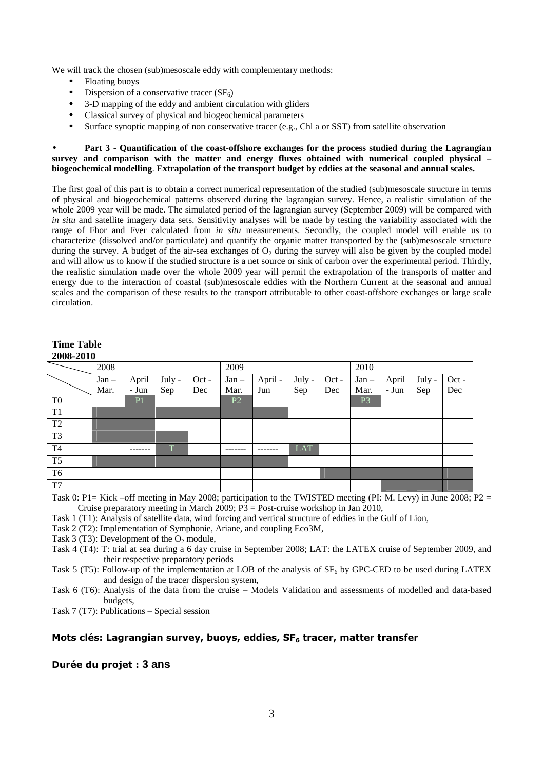We will track the chosen (sub)mesoscale eddy with complementary methods:

- Floating buoys
- Dispersion of a conservative tracer  $(SF_6)$
- 3-D mapping of the eddy and ambient circulation with gliders
- Classical survey of physical and biogeochemical parameters
- Surface synoptic mapping of non conservative tracer (e.g., Chl a or SST) from satellite observation

#### • **Part 3 - Quantification of the coast-offshore exchanges for the process studied during the Lagrangian survey and comparison with the matter and energy fluxes obtained with numerical coupled physical – biogeochemical modelling**. **Extrapolation of the transport budget by eddies at the seasonal and annual scales.**

The first goal of this part is to obtain a correct numerical representation of the studied (sub)mesoscale structure in terms of physical and biogeochemical patterns observed during the lagrangian survey. Hence, a realistic simulation of the whole 2009 year will be made. The simulated period of the lagrangian survey (September 2009) will be compared with *in situ* and satellite imagery data sets. Sensitivity analyses will be made by testing the variability associated with the range of Fhor and Fver calculated from *in situ* measurements. Secondly, the coupled model will enable us to characterize (dissolved and/or particulate) and quantify the organic matter transported by the (sub)mesoscale structure during the survey. A budget of the air-sea exchanges of  $O<sub>2</sub>$  during the survey will also be given by the coupled model and will allow us to know if the studied structure is a net source or sink of carbon over the experimental period. Thirdly, the realistic simulation made over the whole 2009 year will permit the extrapolation of the transports of matter and energy due to the interaction of coastal (sub)mesoscale eddies with the Northern Current at the seasonal and annual scales and the comparison of these results to the transport attributable to other coast-offshore exchanges or large scale circulation.

### **Time Table 2008-2010**

|                | 2008    |       |        | 2009  |                |         | 2010   |       |                |       |        |       |
|----------------|---------|-------|--------|-------|----------------|---------|--------|-------|----------------|-------|--------|-------|
|                | $Jan -$ | April | July - | Oct - | $Jan -$        | April - | July - | Oct - | $Jan -$        | April | July - | Oct - |
|                | Mar.    | - Jun | Sep    | Dec   | Mar.           | Jun     | Sep    | Dec   | Mar.           | - Jun | Sep    | Dec   |
| T <sub>0</sub> |         | P1    |        |       | P <sub>2</sub> |         |        |       | P <sub>3</sub> |       |        |       |
| T <sub>1</sub> |         |       |        |       |                |         |        |       |                |       |        |       |
| T <sub>2</sub> |         |       |        |       |                |         |        |       |                |       |        |       |
| T <sub>3</sub> |         |       |        |       |                |         |        |       |                |       |        |       |
| <b>T4</b>      |         |       | T      |       |                |         | LAT    |       |                |       |        |       |
| T <sub>5</sub> |         |       |        |       |                |         |        |       |                |       |        |       |
| T <sub>6</sub> |         |       |        |       |                |         |        |       |                |       |        |       |
| T7             |         |       |        |       |                |         |        |       |                |       |        |       |

Task 0: P1= Kick –off meeting in May 2008; participation to the TWISTED meeting (PI: M. Levy) in June 2008; P2 = Cruise preparatory meeting in March 2009;  $P3 = Post-cruise$  workshop in Jan 2010,

Task 1 (T1): Analysis of satellite data, wind forcing and vertical structure of eddies in the Gulf of Lion,

Task 2 (T2): Implementation of Symphonie, Ariane, and coupling Eco3M,

Task 3 (T3): Development of the  $O_2$  module,

Task 4 (T4): T: trial at sea during a 6 day cruise in September 2008; LAT: the LATEX cruise of September 2009, and their respective preparatory periods

Task 5 (T5): Follow-up of the implementation at LOB of the analysis of  $SF<sub>6</sub>$  by GPC-CED to be used during LATEX and design of the tracer dispersion system,

Task 6 (T6): Analysis of the data from the cruise – Models Validation and assessments of modelled and data-based budgets,

Task 7 (T7): Publications – Special session

### Mots clés: Lagrangian survey, buoys, eddies, SF<sub>6</sub> tracer, matter transfer

### Durée du projet : **3 ans**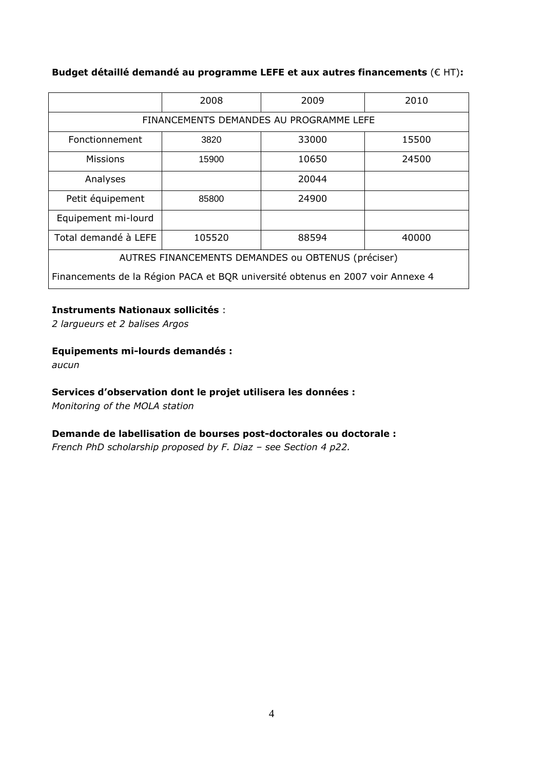# Budget détaillé demandé au programme LEFE et aux autres financements (€ HT):

|                                                                                | 2008  | 2009  | 2010  |  |  |  |
|--------------------------------------------------------------------------------|-------|-------|-------|--|--|--|
| FINANCEMENTS DEMANDES AU PROGRAMME LEFE                                        |       |       |       |  |  |  |
| Fonctionnement                                                                 | 3820  | 33000 | 15500 |  |  |  |
| <b>Missions</b>                                                                | 15900 | 10650 | 24500 |  |  |  |
| Analyses                                                                       |       | 20044 |       |  |  |  |
| Petit équipement                                                               | 85800 | 24900 |       |  |  |  |
| Equipement mi-lourd                                                            |       |       |       |  |  |  |
| Total demandé à LEFE<br>105520<br>88594<br>40000                               |       |       |       |  |  |  |
| AUTRES FINANCEMENTS DEMANDES ou OBTENUS (préciser)                             |       |       |       |  |  |  |
| Financements de la Région PACA et BQR université obtenus en 2007 voir Annexe 4 |       |       |       |  |  |  |

# Instruments Nationaux sollicités :

2 largueurs et 2 balises Argos

# Equipements mi-lourds demandés :

aucun

# Services d'observation dont le projet utilisera les données :

Monitoring of the MOLA station

# Demande de labellisation de bourses post-doctorales ou doctorale :

French PhD scholarship proposed by F. Diaz – see Section 4 p22.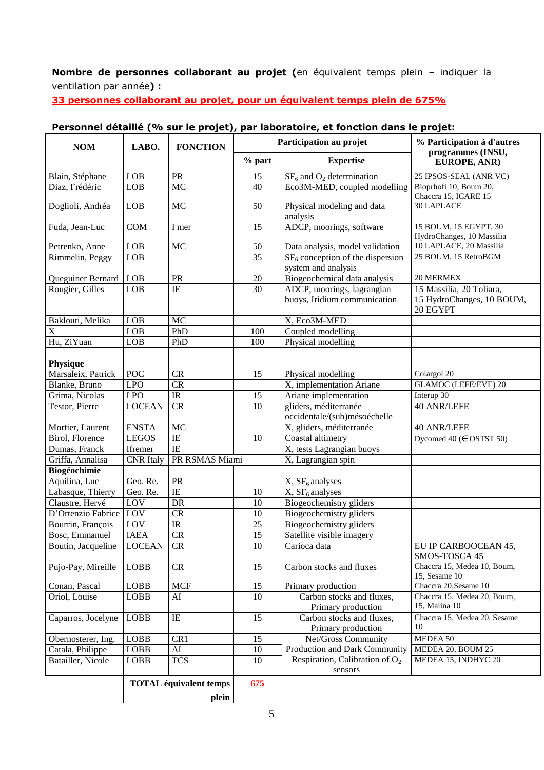Nombre de personnes collaborant au projet (en équivalent temps plein - indiquer la ventilation par année) :

33 personnes collaborant au projet, pour un équivalent temps plein de 675%

#### **Participation au projet Participation au projet % part Expertise % Participation à d'autres programmes (INSU, EUROPE, ANR)**   $B$ lain, Stéphane LOB PR 15  $S\text{F}_6$  and  $\text{O}_2$  determination 25 IPSOS-SEAL (ANR VC)<br>Diaz. Frédéric LOB MC 40 Eco3M-MED counled modelling Bioprhofi 10, Boum 20, Diaz, Frédéric  $\begin{array}{c|c}\n\end{array}$  LOB  $\begin{array}{c|c}\n\end{array}$  MC  $\begin{array}{c|c}\n\end{array}$  40 Eco3M-MED, coupled modelling Chaccra 15, ICARE 15 Doglioli, Andréa LOB MC 50 Physical modeling and data analysis 30 LAPLACE Fuda, Jean-Luc COM I mer 15 ADCP, moorings, software 15 BOUM, 15 EGYPT, 30 HydroChanges, 10 Massilia Petrenko, Anne LOB MC 50 Data analysis, model validation Rimmelin, Peggy  $\begin{array}{|c|c|c|c|c|c|c|c|} \hline \end{array}$  35  $\begin{array}{|c|c|c|c|c|c|c|c|c|} \hline \text{SFR}_6 \text{ conception of the dispersion} \end{array}$ system and analysis 25 BOUM, 15 RetroBGM Queguiner Bernard LOB PR 20 Biogeochemical data analysis 20 MERMEX<br>Rougier Gilles LOB IE 30 ADCP moorings lagrangian 15 Massilia Rougier, Gilles LOB IE 30 ADCP, moorings, lagrangian buoys, Iridium communication 15 Massilia, 20 Toliara, 15 HydroChanges, 10 BOUM, 20 EGYPT Baklouti, Melika LOB MC X, Eco3M-MED X  $\vert$  LOB  $\vert$  PhD  $\vert$  100  $\vert$  Coupled modelling Hu, ZiYuan LOB PhD 100 Physical modelling **Physique**<br>Marsaleix, Patrick POC CR 15 Physical modelling Colargol 20<br>
LPO CR X, implementation Ariane GLAMOC (LEFE/EVE) 20 Blanke, Bruno LPO CR X, implementation Ariane GLAMOC (Grima, Nicolas LPO IR 15 Ariane implementation Interup Grima, Nicolas LPO IR 15 Ariane implementation<br>
Testor, Pierre LOCEAN CR 10 gliders, méditerranée LOCEAN CR 10 gliders, méditerranée occidentale/(sub)mésoéchelle 40 ANR/LEFE Mortier, Laurent ENSTA MC X, gliders, méditerranée 40 ANR/LEFE Birol, Florence LEGOS IE 10 Coastal altimetry Dycomed  $40 \ (\epsilon \text{OSTST 50})$ Dumas, Franck Ifremer IE X, tests Lagrangian buoys Griffa, Annalisa (CNR Italy PR RSMAS Miami) X, Lagrangian spin **Biogéochimie**  Aquilina, Luc Geo. Re. PR X, SF<sub>6</sub> analyses<br>
Labasque, Thierry Geo. Re. IE 10 X, SF<sub>6</sub> analyses Labasque, Thierry Geo. Re. IE 10<br>Claustre, Hervé LOV DR 10  $\text{LOV}$  DR 10 Biogeochemistry gliders D'Ortenzio Fabrice LOV  $CR$  10 Biogeochemistry gliders Bourrin, François LOV IR 25 Biogeochemistry gliders<br>
Bosc, Emmanuel IAEA CR 15 Satellite visible imagery Satellite visible imagery Boutin, Jacqueline LOCEAN CR 10 Carioca data EU IP CARBOOCEAN 45, SMOS-TOSCA 45 Pujo-Pay, Mireille LOBB CR 15 Carbon stocks and fluxes Chaccra 15, Medea 10, Boum, 15, Sesame 10<br>Chaccra 20, Sesame 10 Conan, Pascal LOBB MCF 15 Primary production<br>
Oriol Louise LOBB AI 10 Carbon stocks a AI 10 10 Carbon stocks and fluxes, Primary production Chaccra 15, Medea 20, Boum, 15, Malina 10 Caparros, Jocelyne LOBB IE 15 Carbon stocks and fluxes, Primary production Chaccra 15, Medea 20, Sesame 10 Obernosterer, Ing. LOBB CR1 15 Net/Gross Community MEDEA 50 Catala, Philippe | LOBB | AI 10 | Production and Dark Community | MEDEA 20, BOUM 25 Batailler, Nicole LOBB TCS 10 Respiration, Calibration of  $O<sub>2</sub>$ sensors MEDEA 15, INDHYC 20 **TOTAL équivalent temps plein 675**

# Personnel détaillé (% sur le projet), par laboratoire, et fonction dans le projet: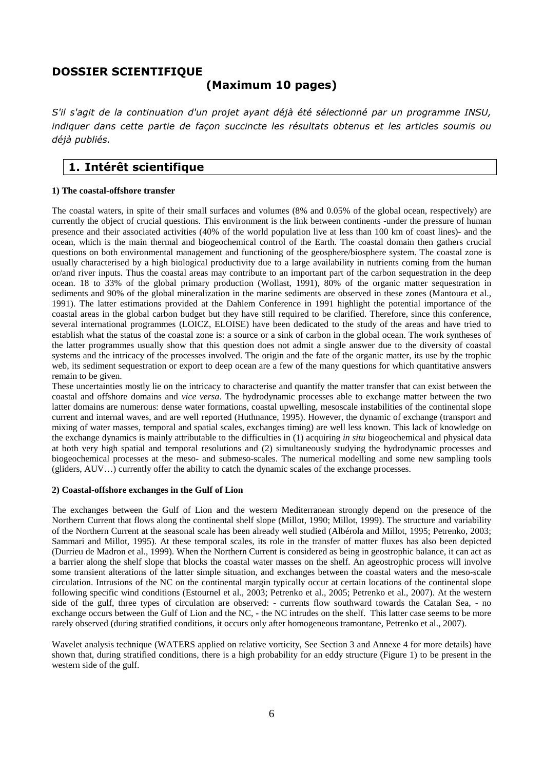### DOSSIER SCIENTIFIQUE

# (Maximum 10 pages)

S'il s'agit de la continuation d'un projet ayant déjà été sélectionné par un programme INSU, indiquer dans cette partie de façon succincte les résultats obtenus et les articles soumis ou déjà publiés.

# 1. Intérêt scientifique

### **1) The coastal-offshore transfer**

The coastal waters, in spite of their small surfaces and volumes (8% and 0.05% of the global ocean, respectively) are currently the object of crucial questions. This environment is the link between continents -under the pressure of human presence and their associated activities (40% of the world population live at less than 100 km of coast lines)- and the ocean, which is the main thermal and biogeochemical control of the Earth. The coastal domain then gathers crucial questions on both environmental management and functioning of the geosphere/biosphere system. The coastal zone is usually characterised by a high biological productivity due to a large availability in nutrients coming from the human or/and river inputs. Thus the coastal areas may contribute to an important part of the carbon sequestration in the deep ocean. 18 to 33% of the global primary production (Wollast, 1991), 80% of the organic matter sequestration in sediments and 90% of the global mineralization in the marine sediments are observed in these zones (Mantoura et al., 1991). The latter estimations provided at the Dahlem Conference in 1991 highlight the potential importance of the coastal areas in the global carbon budget but they have still required to be clarified. Therefore, since this conference, several international programmes (LOICZ, ELOISE) have been dedicated to the study of the areas and have tried to establish what the status of the coastal zone is: a source or a sink of carbon in the global ocean. The work syntheses of the latter programmes usually show that this question does not admit a single answer due to the diversity of coastal systems and the intricacy of the processes involved. The origin and the fate of the organic matter, its use by the trophic web, its sediment sequestration or export to deep ocean are a few of the many questions for which quantitative answers remain to be given.

These uncertainties mostly lie on the intricacy to characterise and quantify the matter transfer that can exist between the coastal and offshore domains and *vice versa*. The hydrodynamic processes able to exchange matter between the two latter domains are numerous: dense water formations, coastal upwelling, mesoscale instabilities of the continental slope current and internal waves, and are well reported (Huthnance, 1995). However, the dynamic of exchange (transport and mixing of water masses, temporal and spatial scales, exchanges timing) are well less known. This lack of knowledge on the exchange dynamics is mainly attributable to the difficulties in (1) acquiring *in situ* biogeochemical and physical data at both very high spatial and temporal resolutions and (2) simultaneously studying the hydrodynamic processes and biogeochemical processes at the meso- and submeso-scales. The numerical modelling and some new sampling tools (gliders, AUV…) currently offer the ability to catch the dynamic scales of the exchange processes.

### **2) Coastal-offshore exchanges in the Gulf of Lion**

The exchanges between the Gulf of Lion and the western Mediterranean strongly depend on the presence of the Northern Current that flows along the continental shelf slope (Millot, 1990; Millot, 1999). The structure and variability of the Northern Current at the seasonal scale has been already well studied (Albérola and Millot, 1995; Petrenko, 2003; Sammari and Millot, 1995). At these temporal scales, its role in the transfer of matter fluxes has also been depicted (Durrieu de Madron et al., 1999). When the Northern Current is considered as being in geostrophic balance, it can act as a barrier along the shelf slope that blocks the coastal water masses on the shelf. An ageostrophic process will involve some transient alterations of the latter simple situation, and exchanges between the coastal waters and the meso-scale circulation. Intrusions of the NC on the continental margin typically occur at certain locations of the continental slope following specific wind conditions (Estournel et al., 2003; Petrenko et al., 2005; Petrenko et al., 2007). At the western side of the gulf, three types of circulation are observed: - currents flow southward towards the Catalan Sea, - no exchange occurs between the Gulf of Lion and the NC, - the NC intrudes on the shelf. This latter case seems to be more rarely observed (during stratified conditions, it occurs only after homogeneous tramontane, Petrenko et al., 2007).

Wavelet analysis technique (WATERS applied on relative vorticity, See Section 3 and Annexe 4 for more details) have shown that, during stratified conditions, there is a high probability for an eddy structure (Figure 1) to be present in the western side of the gulf.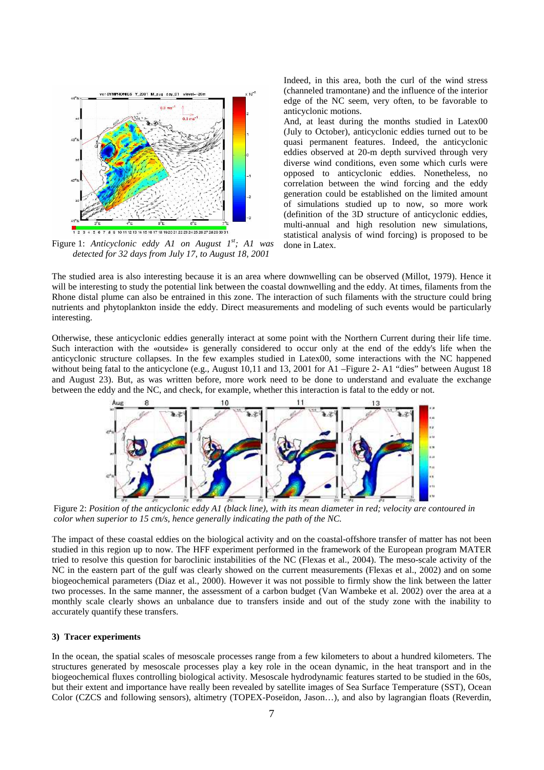

Figure 1: *Anticyclonic eddy A1 on August 1st; A1 was detected for 32 days from July 17, to August 18, 2001*

Indeed, in this area, both the curl of the wind stress (channeled tramontane) and the influence of the interior edge of the NC seem, very often, to be favorable to anticyclonic motions.

And, at least during the months studied in Latex00 (July to October), anticyclonic eddies turned out to be quasi permanent features. Indeed, the anticyclonic eddies observed at 20-m depth survived through very diverse wind conditions, even some which curls were opposed to anticyclonic eddies. Nonetheless, no correlation between the wind forcing and the eddy generation could be established on the limited amount of simulations studied up to now, so more work (definition of the 3D structure of anticyclonic eddies, multi-annual and high resolution new simulations, statistical analysis of wind forcing) is proposed to be done in Latex.

The studied area is also interesting because it is an area where downwelling can be observed (Millot, 1979). Hence it will be interesting to study the potential link between the coastal downwelling and the eddy. At times, filaments from the Rhone distal plume can also be entrained in this zone. The interaction of such filaments with the structure could bring nutrients and phytoplankton inside the eddy. Direct measurements and modeling of such events would be particularly interesting.

Otherwise, these anticyclonic eddies generally interact at some point with the Northern Current during their life time. Such interaction with the «outside» is generally considered to occur only at the end of the eddy's life when the anticyclonic structure collapses. In the few examples studied in Latex00, some interactions with the NC happened without being fatal to the anticyclone (e.g., August 10,11 and 13, 2001 for A1 –Figure 2- A1 "dies" between August 18 and August 23). But, as was written before, more work need to be done to understand and evaluate the exchange between the eddy and the NC, and check, for example, whether this interaction is fatal to the eddy or not.



Figure 2: *Position of the anticyclonic eddy A1 (black line), with its mean diameter in red; velocity are contoured in color when superior to 15 cm/s, hence generally indicating the path of the NC.*

The impact of these coastal eddies on the biological activity and on the coastal-offshore transfer of matter has not been studied in this region up to now. The HFF experiment performed in the framework of the European program MATER tried to resolve this question for baroclinic instabilities of the NC (Flexas et al., 2004). The meso-scale activity of the NC in the eastern part of the gulf was clearly showed on the current measurements (Flexas et al., 2002) and on some biogeochemical parameters (Diaz et al., 2000). However it was not possible to firmly show the link between the latter two processes. In the same manner, the assessment of a carbon budget (Van Wambeke et al. 2002) over the area at a monthly scale clearly shows an unbalance due to transfers inside and out of the study zone with the inability to accurately quantify these transfers.

#### **3) Tracer experiments**

In the ocean, the spatial scales of mesoscale processes range from a few kilometers to about a hundred kilometers. The structures generated by mesoscale processes play a key role in the ocean dynamic, in the heat transport and in the biogeochemical fluxes controlling biological activity. Mesoscale hydrodynamic features started to be studied in the 60s, but their extent and importance have really been revealed by satellite images of Sea Surface Temperature (SST), Ocean Color (CZCS and following sensors), altimetry (TOPEX-Poseïdon, Jason…), and also by lagrangian floats (Reverdin,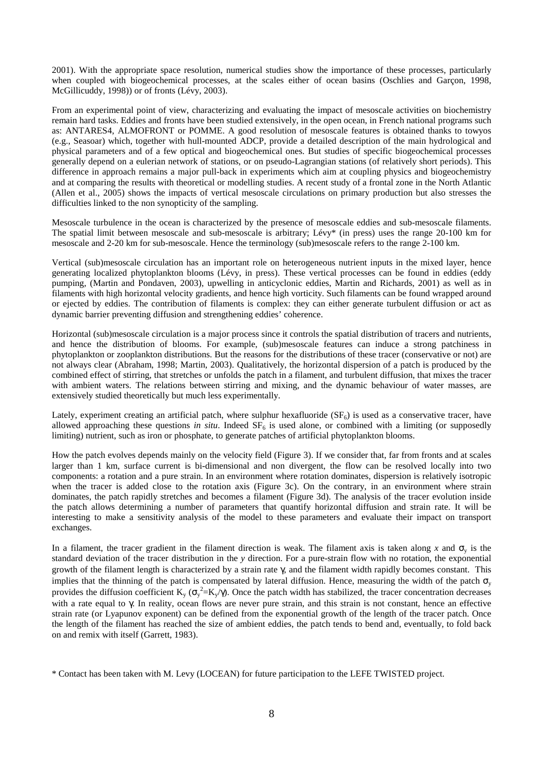2001). With the appropriate space resolution, numerical studies show the importance of these processes, particularly when coupled with biogeochemical processes, at the scales either of ocean basins (Oschlies and Garçon, 1998, McGillicuddy, 1998)) or of fronts (Lévy, 2003).

From an experimental point of view, characterizing and evaluating the impact of mesoscale activities on biochemistry remain hard tasks. Eddies and fronts have been studied extensively, in the open ocean, in French national programs such as: ANTARES4, ALMOFRONT or POMME. A good resolution of mesoscale features is obtained thanks to towyos (e.g., Seasoar) which, together with hull-mounted ADCP, provide a detailed description of the main hydrological and physical parameters and of a few optical and biogeochemical ones. But studies of specific biogeochemical processes generally depend on a eulerian network of stations, or on pseudo-Lagrangian stations (of relatively short periods). This difference in approach remains a major pull-back in experiments which aim at coupling physics and biogeochemistry and at comparing the results with theoretical or modelling studies. A recent study of a frontal zone in the North Atlantic (Allen et al., 2005) shows the impacts of vertical mesoscale circulations on primary production but also stresses the difficulties linked to the non synopticity of the sampling.

Mesoscale turbulence in the ocean is characterized by the presence of mesoscale eddies and sub-mesoscale filaments. The spatial limit between mesoscale and sub-mesoscale is arbitrary; Lévy\* (in press) uses the range 20-100 km for mesoscale and 2-20 km for sub-mesoscale. Hence the terminology (sub)mesoscale refers to the range 2-100 km.

Vertical (sub)mesoscale circulation has an important role on heterogeneous nutrient inputs in the mixed layer, hence generating localized phytoplankton blooms (Lévy, in press). These vertical processes can be found in eddies (eddy pumping, (Martin and Pondaven, 2003), upwelling in anticyclonic eddies, Martin and Richards, 2001) as well as in filaments with high horizontal velocity gradients, and hence high vorticity. Such filaments can be found wrapped around or ejected by eddies. The contribution of filaments is complex: they can either generate turbulent diffusion or act as dynamic barrier preventing diffusion and strengthening eddies' coherence.

Horizontal (sub)mesoscale circulation is a major process since it controls the spatial distribution of tracers and nutrients, and hence the distribution of blooms. For example, (sub)mesoscale features can induce a strong patchiness in phytoplankton or zooplankton distributions. But the reasons for the distributions of these tracer (conservative or not) are not always clear (Abraham, 1998; Martin, 2003). Qualitatively, the horizontal dispersion of a patch is produced by the combined effect of stirring, that stretches or unfolds the patch in a filament, and turbulent diffusion, that mixes the tracer with ambient waters. The relations between stirring and mixing, and the dynamic behaviour of water masses, are extensively studied theoretically but much less experimentally.

Lately, experiment creating an artificial patch, where sulphur hexafluoride  $(SF_6)$  is used as a conservative tracer, have allowed approaching these questions *in situ*. Indeed  $SF<sub>6</sub>$  is used alone, or combined with a limiting (or supposedly limiting) nutrient, such as iron or phosphate, to generate patches of artificial phytoplankton blooms.

How the patch evolves depends mainly on the velocity field (Figure 3). If we consider that, far from fronts and at scales larger than 1 km, surface current is bi-dimensional and non divergent, the flow can be resolved locally into two components: a rotation and a pure strain. In an environment where rotation dominates, dispersion is relatively isotropic when the tracer is added close to the rotation axis (Figure 3c). On the contrary, in an environment where strain dominates, the patch rapidly stretches and becomes a filament (Figure 3d). The analysis of the tracer evolution inside the patch allows determining a number of parameters that quantify horizontal diffusion and strain rate. It will be interesting to make a sensitivity analysis of the model to these parameters and evaluate their impact on transport exchanges.

In a filament, the tracer gradient in the filament direction is weak. The filament axis is taken along *x* and  $\sigma_y$  is the standard deviation of the tracer distribution in the *y* direction. For a pure-strain flow with no rotation, the exponential growth of the filament length is characterized by a strain rate  $\gamma$ , and the filament width rapidly becomes constant. This implies that the thinning of the patch is compensated by lateral diffusion. Hence, measuring the width of the patch  $\sigma_y$ provides the diffusion coefficient  $K_y$  ( $\sigma_y^2 = K_y/\gamma$ ). Once the patch width has stabilized, the tracer concentration decreases with a rate equal to γ. In reality, ocean flows are never pure strain, and this strain is not constant, hence an effective strain rate (or Lyapunov exponent) can be defined from the exponential growth of the length of the tracer patch. Once the length of the filament has reached the size of ambient eddies, the patch tends to bend and, eventually, to fold back on and remix with itself (Garrett, 1983).

<sup>\*</sup> Contact has been taken with M. Levy (LOCEAN) for future participation to the LEFE TWISTED project.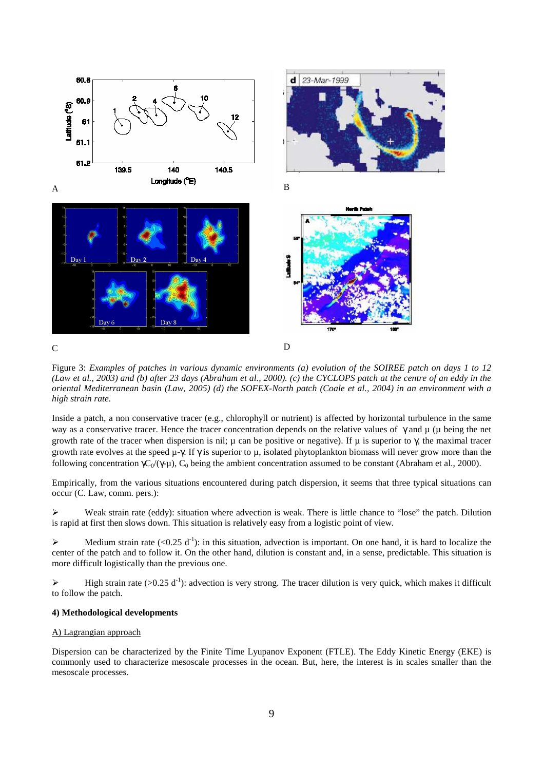

Figure 3: *Examples of patches in various dynamic environments (a) evolution of the SOIREE patch on days 1 to 12 (Law et al., 2003) and (b) after 23 days (Abraham et al., 2000). (c) the CYCLOPS patch at the centre of an eddy in the oriental Mediterranean basin (Law, 2005) (d) the SOFEX-North patch (Coale et al., 2004) in an environment with a high strain rate.*

Inside a patch, a non conservative tracer (e.g., chlorophyll or nutrient) is affected by horizontal turbulence in the same way as a conservative tracer. Hence the tracer concentration depends on the relative values of  $\gamma$  and  $\mu$  ( $\mu$  being the net growth rate of the tracer when dispersion is nil;  $\mu$  can be positive or negative). If  $\mu$  is superior to  $\gamma$ , the maximal tracer growth rate evolves at the speed  $\mu$ -γ. If  $\gamma$  is superior to  $\mu$ , isolated phytoplankton biomass will never grow more than the following concentration  $\gamma C_0/(\gamma-\mu)$ , C<sub>0</sub> being the ambient concentration assumed to be constant (Abraham et al., 2000).

Empirically, from the various situations encountered during patch dispersion, it seems that three typical situations can occur (C. Law, comm. pers.):

Weak strain rate (eddy): situation where advection is weak. There is little chance to "lose" the patch. Dilution is rapid at first then slows down. This situation is relatively easy from a logistic point of view.

Medium strain rate  $(<0.25 \text{ d}^{-1})$ : in this situation, advection is important. On one hand, it is hard to localize the center of the patch and to follow it. On the other hand, dilution is constant and, in a sense, predictable. This situation is more difficult logistically than the previous one.

 $\triangleright$  High strain rate (>0.25 d<sup>-1</sup>): advection is very strong. The tracer dilution is very quick, which makes it difficult to follow the patch.

#### **4) Methodological developments**

#### A) Lagrangian approach

Dispersion can be characterized by the Finite Time Lyupanov Exponent (FTLE). The Eddy Kinetic Energy (EKE) is commonly used to characterize mesoscale processes in the ocean. But, here, the interest is in scales smaller than the mesoscale processes.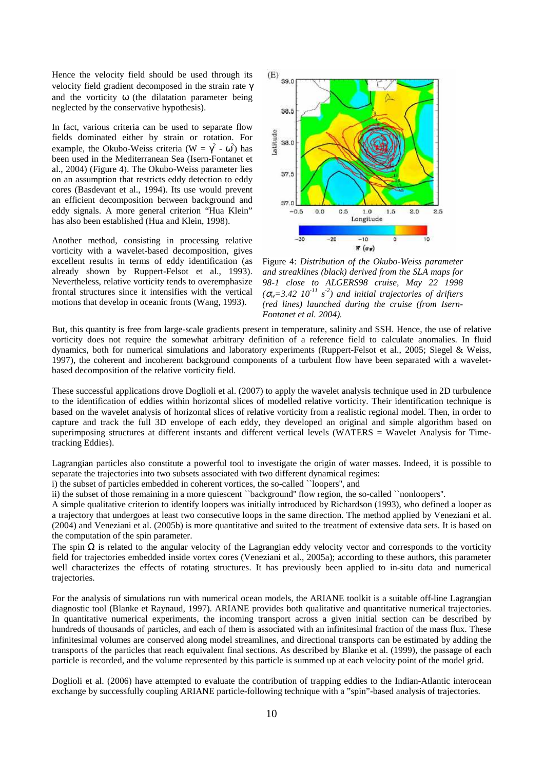Hence the velocity field should be used through its velocity field gradient decomposed in the strain rate γ and the vorticity ω (the dilatation parameter being neglected by the conservative hypothesis).

In fact, various criteria can be used to separate flow fields dominated either by strain or rotation. For example, the Okubo-Weiss criteria ( $W = \gamma^2 - \omega^2$ ) has been used in the Mediterranean Sea (Isern-Fontanet et al., 2004) (Figure 4). The Okubo-Weiss parameter lies on an assumption that restricts eddy detection to eddy cores (Basdevant et al., 1994). Its use would prevent an efficient decomposition between background and eddy signals. A more general criterion "Hua Klein" has also been established (Hua and Klein, 1998).

Another method, consisting in processing relative vorticity with a wavelet-based decomposition, gives excellent results in terms of eddy identification (as already shown by Ruppert-Felsot et al., 1993). Nevertheless, relative vorticity tends to overemphasize frontal structures since it intensifies with the vertical motions that develop in oceanic fronts (Wang, 1993).



Figure 4: *Distribution of the Okubo-Weiss parameter and streaklines (black) derived from the SLA maps for 98-1 close to ALGERS98 cruise, May 22 1998*   $(\sigma_w = 3.42 \; 10^{-11} \; s^2)$  and initial trajectories of drifters *(red lines) launched during the cruise (from Isern-Fontanet et al. 2004).*

But, this quantity is free from large-scale gradients present in temperature, salinity and SSH. Hence, the use of relative vorticity does not require the somewhat arbitrary definition of a reference field to calculate anomalies. In fluid dynamics, both for numerical simulations and laboratory experiments (Ruppert-Felsot et al., 2005; Siegel & Weiss, 1997), the coherent and incoherent background components of a turbulent flow have been separated with a waveletbased decomposition of the relative vorticity field.

These successful applications drove Doglioli et al. (2007) to apply the wavelet analysis technique used in 2D turbulence to the identification of eddies within horizontal slices of modelled relative vorticity. Their identification technique is based on the wavelet analysis of horizontal slices of relative vorticity from a realistic regional model. Then, in order to capture and track the full 3D envelope of each eddy, they developed an original and simple algorithm based on superimposing structures at different instants and different vertical levels (WATERS = Wavelet Analysis for Timetracking Eddies).

Lagrangian particles also constitute a powerful tool to investigate the origin of water masses. Indeed, it is possible to separate the trajectories into two subsets associated with two different dynamical regimes:

i) the subset of particles embedded in coherent vortices, the so-called ``loopers'', and

ii) the subset of those remaining in a more quiescent ``background'' flow region, the so-called ``nonloopers''.

A simple qualitative criterion to identify loopers was initially introduced by Richardson (1993), who defined a looper as a trajectory that undergoes at least two consecutive loops in the same direction. The method applied by Veneziani et al. (2004) and Veneziani et al. (2005b) is more quantitative and suited to the treatment of extensive data sets. It is based on the computation of the spin parameter.

The spin  $\Omega$  is related to the angular velocity of the Lagrangian eddy velocity vector and corresponds to the vorticity field for trajectories embedded inside vortex cores (Veneziani et al., 2005a); according to these authors, this parameter well characterizes the effects of rotating structures. It has previously been applied to in-situ data and numerical trajectories.

For the analysis of simulations run with numerical ocean models, the ARIANE toolkit is a suitable off-line Lagrangian diagnostic tool (Blanke et Raynaud, 1997). ARIANE provides both qualitative and quantitative numerical trajectories. In quantitative numerical experiments, the incoming transport across a given initial section can be described by hundreds of thousands of particles, and each of them is associated with an infinitesimal fraction of the mass flux. These infinitesimal volumes are conserved along model streamlines, and directional transports can be estimated by adding the transports of the particles that reach equivalent final sections. As described by Blanke et al. (1999), the passage of each particle is recorded, and the volume represented by this particle is summed up at each velocity point of the model grid.

Doglioli et al. (2006) have attempted to evaluate the contribution of trapping eddies to the Indian-Atlantic interocean exchange by successfully coupling ARIANE particle-following technique with a "spin"-based analysis of trajectories.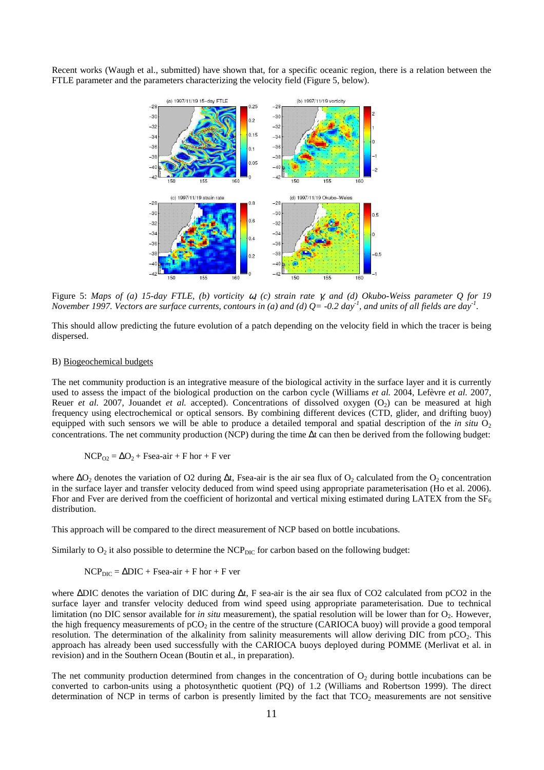Recent works (Waugh et al., submitted) have shown that, for a specific oceanic region, there is a relation between the FTLE parameter and the parameters characterizing the velocity field (Figure 5, below).



Figure 5: *Maps of (a) 15-day FTLE, (b) vorticity* ω*, (c) strain rate* γ*, and (d) Okubo-Weiss parameter Q for 19 November 1997. Vectors are surface currents, contours in (a) and (d) Q= -0.2 day-1, and units of all fields are day-1 .* 

This should allow predicting the future evolution of a patch depending on the velocity field in which the tracer is being dispersed.

#### B) Biogeochemical budgets

The net community production is an integrative measure of the biological activity in the surface layer and it is currently used to assess the impact of the biological production on the carbon cycle (Williams *et al.* 2004, Lefèvre *et al.* 2007, Reuer *et al.* 2007, Jouandet *et al.* accepted). Concentrations of dissolved oxygen  $(O_2)$  can be measured at high frequency using electrochemical or optical sensors. By combining different devices (CTD, glider, and drifting buoy) equipped with such sensors we will be able to produce a detailed temporal and spatial description of the *in situ*  $O_2$ concentrations. The net community production (NCP) during the time ∆t can then be derived from the following budget:

 $NCP_{O2} = \Delta O_2 + Fsea$ -air + F hor + F ver

where  $\Delta O_2$  denotes the variation of O2 during  $\Delta t$ , Fsea-air is the air sea flux of O<sub>2</sub> calculated from the O<sub>2</sub> concentration in the surface layer and transfer velocity deduced from wind speed using appropriate parameterisation (Ho et al. 2006). Fhor and Fver are derived from the coefficient of horizontal and vertical mixing estimated during LATEX from the  $SF<sub>6</sub>$ distribution.

This approach will be compared to the direct measurement of NCP based on bottle incubations.

Similarly to  $O_2$  it also possible to determine the  $NCP_{\text{DIC}}$  for carbon based on the following budget:

$$
NCP_{DIC} = \Delta DIC + Fsea-air + F hor + F ver
$$

where ∆DIC denotes the variation of DIC during ∆t, F sea-air is the air sea flux of CO2 calculated from pCO2 in the surface layer and transfer velocity deduced from wind speed using appropriate parameterisation. Due to technical limitation (no DIC sensor available for *in situ* measurement), the spatial resolution will be lower than for O<sub>2</sub>. However, the high frequency measurements of  $pCO<sub>2</sub>$  in the centre of the structure (CARIOCA buoy) will provide a good temporal resolution. The determination of the alkalinity from salinity measurements will allow deriving DIC from pCO<sub>2</sub>. This approach has already been used successfully with the CARIOCA buoys deployed during POMME (Merlivat et al. in revision) and in the Southern Ocean (Boutin et al., in preparation).

The net community production determined from changes in the concentration of  $O<sub>2</sub>$  during bottle incubations can be converted to carbon-units using a photosynthetic quotient (PQ) of 1.2 (Williams and Robertson 1999). The direct determination of NCP in terms of carbon is presently limited by the fact that  $TCO<sub>2</sub>$  measurements are not sensitive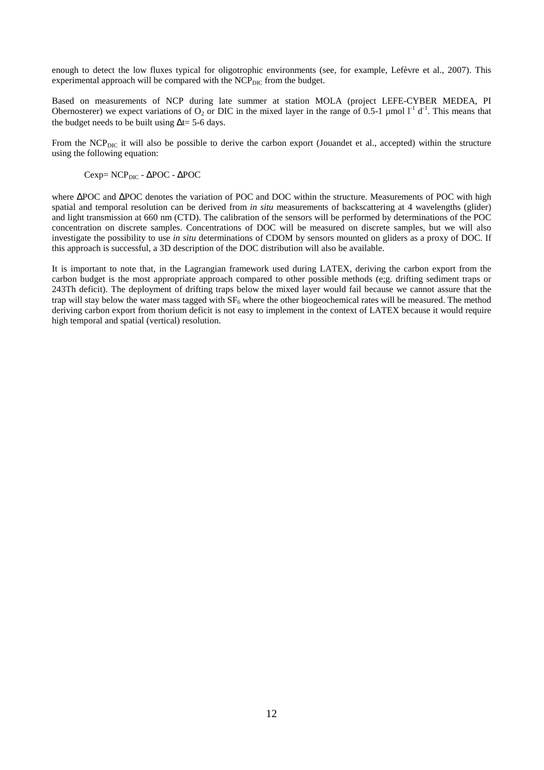enough to detect the low fluxes typical for oligotrophic environments (see, for example, Lefèvre et al., 2007). This experimental approach will be compared with the  $NCP<sub>DIC</sub>$  from the budget.

Based on measurements of NCP during late summer at station MOLA (project LEFE-CYBER MEDEA, PI Obernosterer) we expect variations of  $O_2$  or DIC in the mixed layer in the range of 0.5-1 µmol  $I<sup>-1</sup> d<sup>-1</sup>$ . This means that the budget needs to be built using  $\Delta t$ = 5-6 days.

From the NCP<sub>DIC</sub> it will also be possible to derive the carbon export (Jouandet et al., accepted) within the structure using the following equation:

Cexp= NCP<sub>DIC</sub> - ΔPOC - ΔPOC

where ∆POC and ∆POC denotes the variation of POC and DOC within the structure. Measurements of POC with high spatial and temporal resolution can be derived from *in situ* measurements of backscattering at 4 wavelengths (glider) and light transmission at 660 nm (CTD). The calibration of the sensors will be performed by determinations of the POC concentration on discrete samples. Concentrations of DOC will be measured on discrete samples, but we will also investigate the possibility to use *in situ* determinations of CDOM by sensors mounted on gliders as a proxy of DOC. If this approach is successful, a 3D description of the DOC distribution will also be available.

It is important to note that, in the Lagrangian framework used during LATEX, deriving the carbon export from the carbon budget is the most appropriate approach compared to other possible methods (e;g. drifting sediment traps or 243Th deficit). The deployment of drifting traps below the mixed layer would fail because we cannot assure that the trap will stay below the water mass tagged with  $SF<sub>6</sub>$  where the other biogeochemical rates will be measured. The method deriving carbon export from thorium deficit is not easy to implement in the context of LATEX because it would require high temporal and spatial (vertical) resolution.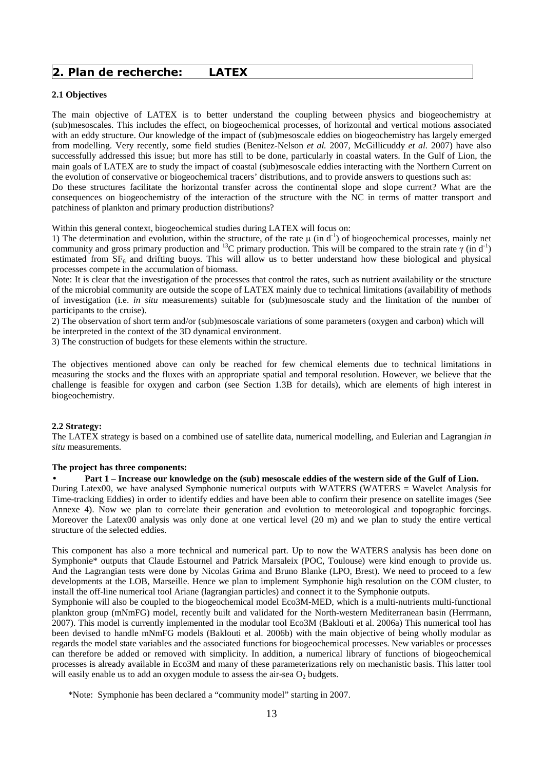### 2. Plan de recherche: LATEX

patchiness of plankton and primary production distributions?

#### **2.1 Objectives**

The main objective of LATEX is to better understand the coupling between physics and biogeochemistry at (sub)mesoscales. This includes the effect, on biogeochemical processes, of horizontal and vertical motions associated with an eddy structure. Our knowledge of the impact of (sub)mesoscale eddies on biogeochemistry has largely emerged from modelling. Very recently, some field studies (Benitez-Nelson *et al.* 2007, McGillicuddy *et al.* 2007) have also successfully addressed this issue; but more has still to be done, particularly in coastal waters. In the Gulf of Lion, the main goals of LATEX are to study the impact of coastal (sub)mesoscale eddies interacting with the Northern Current on the evolution of conservative or biogeochemical tracers' distributions, and to provide answers to questions such as: Do these structures facilitate the horizontal transfer across the continental slope and slope current? What are the consequences on biogeochemistry of the interaction of the structure with the NC in terms of matter transport and

Within this general context, biogeochemical studies during LATEX will focus on:

1) The determination and evolution, within the structure, of the rate  $\mu$  (in d<sup>-1</sup>) of biogeochemical processes, mainly net community and gross primary production and <sup>13</sup>C primary production. This will be compared to the strain rate  $\gamma$  (in d<sup>-1</sup>) estimated from  $SF<sub>6</sub>$  and drifting buoys. This will allow us to better understand how these biological and physical processes compete in the accumulation of biomass.

Note: It is clear that the investigation of the processes that control the rates, such as nutrient availability or the structure of the microbial community are outside the scope of LATEX mainly due to technical limitations (availability of methods of investigation (i.e. *in situ* measurements) suitable for (sub)mesoscale study and the limitation of the number of participants to the cruise).

2) The observation of short term and/or (sub)mesoscale variations of some parameters (oxygen and carbon) which will be interpreted in the context of the 3D dynamical environment.

3) The construction of budgets for these elements within the structure.

The objectives mentioned above can only be reached for few chemical elements due to technical limitations in measuring the stocks and the fluxes with an appropriate spatial and temporal resolution. However, we believe that the challenge is feasible for oxygen and carbon (see Section 1.3B for details), which are elements of high interest in biogeochemistry.

#### **2.2 Strategy:**

The LATEX strategy is based on a combined use of satellite data, numerical modelling, and Eulerian and Lagrangian *in situ* measurements.

#### **The project has three components:**

#### • **Part 1 – Increase our knowledge on the (sub) mesoscale eddies of the western side of the Gulf of Lion.**

During Latex00, we have analysed Symphonie numerical outputs with WATERS (WATERS = Wavelet Analysis for Time-tracking Eddies) in order to identify eddies and have been able to confirm their presence on satellite images (See Annexe 4). Now we plan to correlate their generation and evolution to meteorological and topographic forcings. Moreover the Latex00 analysis was only done at one vertical level (20 m) and we plan to study the entire vertical structure of the selected eddies.

This component has also a more technical and numerical part. Up to now the WATERS analysis has been done on Symphonie\* outputs that Claude Estournel and Patrick Marsaleix (POC, Toulouse) were kind enough to provide us. And the Lagrangian tests were done by Nicolas Grima and Bruno Blanke (LPO, Brest). We need to proceed to a few developments at the LOB, Marseille. Hence we plan to implement Symphonie high resolution on the COM cluster, to install the off-line numerical tool Ariane (lagrangian particles) and connect it to the Symphonie outputs.

Symphonie will also be coupled to the biogeochemical model Eco3M-MED, which is a multi-nutrients multi-functional plankton group (mNmFG) model, recently built and validated for the North-western Mediterranean basin (Herrmann, 2007). This model is currently implemented in the modular tool Eco3M (Baklouti et al. 2006a) This numerical tool has been devised to handle mNmFG models (Baklouti et al. 2006b) with the main objective of being wholly modular as regards the model state variables and the associated functions for biogeochemical processes. New variables or processes can therefore be added or removed with simplicity. In addition, a numerical library of functions of biogeochemical processes is already available in Eco3M and many of these parameterizations rely on mechanistic basis. This latter tool will easily enable us to add an oxygen module to assess the air-sea  $O_2$  budgets.

\*Note: Symphonie has been declared a "community model" starting in 2007.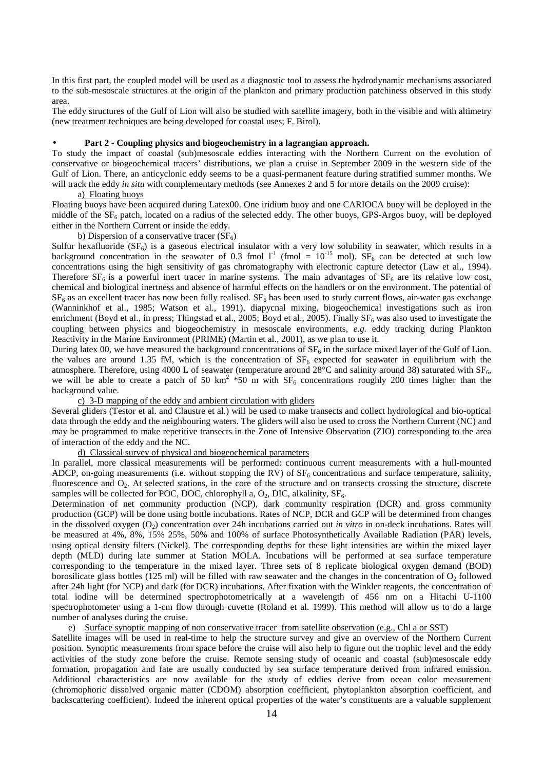In this first part, the coupled model will be used as a diagnostic tool to assess the hydrodynamic mechanisms associated to the sub-mesoscale structures at the origin of the plankton and primary production patchiness observed in this study area.

The eddy structures of the Gulf of Lion will also be studied with satellite imagery, both in the visible and with altimetry (new treatment techniques are being developed for coastal uses; F. Birol).

#### • **Part 2 - Coupling physics and biogeochemistry in a lagrangian approach.**

To study the impact of coastal (sub)mesoscale eddies interacting with the Northern Current on the evolution of conservative or biogeochemical tracers' distributions, we plan a cruise in September 2009 in the western side of the Gulf of Lion. There, an anticyclonic eddy seems to be a quasi-permanent feature during stratified summer months. We will track the eddy *in situ* with complementary methods (see Annexes 2 and 5 for more details on the 2009 cruise):

#### a) Floating buoys

Floating buoys have been acquired during Latex00. One iridium buoy and one CARIOCA buoy will be deployed in the middle of the  $SF<sub>6</sub>$  patch, located on a radius of the selected eddy. The other buoys, GPS-Argos buoy, will be deployed either in the Northern Current or inside the eddy.

#### b) Dispersion of a conservative tracer  $(SF_6)$

Sulfur hexafluoride  $(SF_6)$  is a gaseous electrical insulator with a very low solubility in seawater, which results in a background concentration in the seawater of 0.3 fmol  $1^{-1}$  (fmol =  $10^{-15}$  mol). SF<sub>6</sub> can be detected at such low concentrations using the high sensitivity of gas chromatography with electronic capture detector (Law et al., 1994). Therefore  $SF<sub>6</sub>$  is a powerful inert tracer in marine systems. The main advantages of  $SF<sub>6</sub>$  are its relative low cost, chemical and biological inertness and absence of harmful effects on the handlers or on the environment. The potential of  $SF<sub>6</sub>$  as an excellent tracer has now been fully realised.  $SF<sub>6</sub>$  has been used to study current flows, air-water gas exchange (Wanninkhof et al., 1985; Watson et al., 1991), diapycnal mixing, biogeochemical investigations such as iron enrichment (Boyd et al., in press; Thingstad et al., 2005; Boyd et al., 2005). Finally  $SF_6$  was also used to investigate the coupling between physics and biogeochemistry in mesoscale environments, *e.g.* eddy tracking during Plankton Reactivity in the Marine Environment (PRIME) (Martin et al., 2001), as we plan to use it.

During latex 00, we have measured the background concentrations of  $SF<sub>6</sub>$  in the surface mixed layer of the Gulf of Lion. the values are around 1.35 fM, which is the concentration of  $SF<sub>6</sub>$  expected for seawater in equilibrium with the atmosphere. Therefore, using 4000 L of seawater (temperature around 28°C and salinity around 38) saturated with SF<sub>6</sub>, we will be able to create a patch of 50 km<sup>2</sup>  $*50$  m with  $SF<sub>6</sub>$  concentrations roughly 200 times higher than the background value.

#### c) 3-D mapping of the eddy and ambient circulation with gliders

Several gliders (Testor et al. and Claustre et al.) will be used to make transects and collect hydrological and bio-optical data through the eddy and the neighbouring waters. The gliders will also be used to cross the Northern Current (NC) and may be programmed to make repetitive transects in the Zone of Intensive Observation (ZIO) corresponding to the area of interaction of the eddy and the NC.

#### d) Classical survey of physical and biogeochemical parameters

In parallel, more classical measurements will be performed: continuous current measurements with a hull-mounted ADCP, on-going measurements (i.e. without stopping the RV) of  $SF<sub>6</sub>$  concentrations and surface temperature, salinity, fluorescence and  $O_2$ . At selected stations, in the core of the structure and on transects crossing the structure, discrete samples will be collected for POC, DOC, chlorophyll a,  $O_2$ , DIC, alkalinity,  $SF<sub>6</sub>$ .

Determination of net community production (NCP), dark community respiration (DCR) and gross community production (GCP) will be done using bottle incubations. Rates of NCP, DCR and GCP will be determined from changes in the dissolved oxygen (O<sub>2</sub>) concentration over 24h incubations carried out *in vitro* in on-deck incubations. Rates will be measured at 4%, 8%, 15% 25%, 50% and 100% of surface Photosynthetically Available Radiation (PAR) levels, using optical density filters (Nickel). The corresponding depths for these light intensities are within the mixed layer depth (MLD) during late summer at Station MOLA. Incubations will be performed at sea surface temperature corresponding to the temperature in the mixed layer. Three sets of 8 replicate biological oxygen demand (BOD) borosilicate glass bottles (125 ml) will be filled with raw seawater and the changes in the concentration of  $O_2$  followed after 24h light (for NCP) and dark (for DCR) incubations. After fixation with the Winkler reagents, the concentration of total iodine will be determined spectrophotometrically at a wavelength of 456 nm on a Hitachi U-1100 spectrophotometer using a 1-cm flow through cuvette (Roland et al. 1999). This method will allow us to do a large number of analyses during the cruise.

#### e) Surface synoptic mapping of non conservative tracer from satellite observation (e.g., Chl a or SST)

Satellite images will be used in real-time to help the structure survey and give an overview of the Northern Current position. Synoptic measurements from space before the cruise will also help to figure out the trophic level and the eddy activities of the study zone before the cruise. Remote sensing study of oceanic and coastal (sub)mesoscale eddy formation, propagation and fate are usually conducted by sea surface temperature derived from infrared emission. Additional characteristics are now available for the study of eddies derive from ocean color measurement (chromophoric dissolved organic matter (CDOM) absorption coefficient, phytoplankton absorption coefficient, and backscattering coefficient). Indeed the inherent optical properties of the water's constituents are a valuable supplement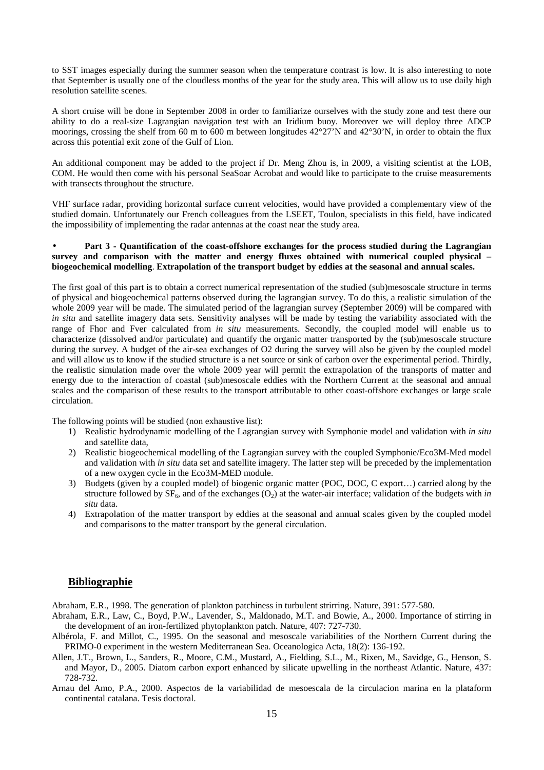to SST images especially during the summer season when the temperature contrast is low. It is also interesting to note that September is usually one of the cloudless months of the year for the study area. This will allow us to use daily high resolution satellite scenes.

A short cruise will be done in September 2008 in order to familiarize ourselves with the study zone and test there our ability to do a real-size Lagrangian navigation test with an Iridium buoy. Moreover we will deploy three ADCP moorings, crossing the shelf from 60 m to 600 m between longitudes  $42^{\circ}27'N$  and  $42^{\circ}30'N$ , in order to obtain the flux across this potential exit zone of the Gulf of Lion.

An additional component may be added to the project if Dr. Meng Zhou is, in 2009, a visiting scientist at the LOB, COM. He would then come with his personal SeaSoar Acrobat and would like to participate to the cruise measurements with transects throughout the structure.

VHF surface radar, providing horizontal surface current velocities, would have provided a complementary view of the studied domain. Unfortunately our French colleagues from the LSEET, Toulon, specialists in this field, have indicated the impossibility of implementing the radar antennas at the coast near the study area.

#### • **Part 3 - Quantification of the coast-offshore exchanges for the process studied during the Lagrangian survey and comparison with the matter and energy fluxes obtained with numerical coupled physical – biogeochemical modelling**. **Extrapolation of the transport budget by eddies at the seasonal and annual scales.**

The first goal of this part is to obtain a correct numerical representation of the studied (sub)mesoscale structure in terms of physical and biogeochemical patterns observed during the lagrangian survey. To do this, a realistic simulation of the whole 2009 year will be made. The simulated period of the lagrangian survey (September 2009) will be compared with *in situ* and satellite imagery data sets. Sensitivity analyses will be made by testing the variability associated with the range of Fhor and Fver calculated from *in situ* measurements. Secondly, the coupled model will enable us to characterize (dissolved and/or particulate) and quantify the organic matter transported by the (sub)mesoscale structure during the survey. A budget of the air-sea exchanges of O2 during the survey will also be given by the coupled model and will allow us to know if the studied structure is a net source or sink of carbon over the experimental period. Thirdly, the realistic simulation made over the whole 2009 year will permit the extrapolation of the transports of matter and energy due to the interaction of coastal (sub)mesoscale eddies with the Northern Current at the seasonal and annual scales and the comparison of these results to the transport attributable to other coast-offshore exchanges or large scale circulation.

The following points will be studied (non exhaustive list):

- 1) Realistic hydrodynamic modelling of the Lagrangian survey with Symphonie model and validation with *in situ* and satellite data,
- 2) Realistic biogeochemical modelling of the Lagrangian survey with the coupled Symphonie/Eco3M-Med model and validation with *in situ* data set and satellite imagery. The latter step will be preceded by the implementation of a new oxygen cycle in the Eco3M-MED module.
- 3) Budgets (given by a coupled model) of biogenic organic matter (POC, DOC, C export…) carried along by the structure followed by  $SF_6$ , and of the exchanges  $(O_2)$  at the water-air interface; validation of the budgets with *in situ* data.
- 4) Extrapolation of the matter transport by eddies at the seasonal and annual scales given by the coupled model and comparisons to the matter transport by the general circulation.

### **Bibliographie**

Abraham, E.R., 1998. The generation of plankton patchiness in turbulent strirring. Nature, 391: 577-580.

- Abraham, E.R., Law, C., Boyd, P.W., Lavender, S., Maldonado, M.T. and Bowie, A., 2000. Importance of stirring in the development of an iron-fertilized phytoplankton patch. Nature, 407: 727-730.
- Albérola, F. and Millot, C., 1995. On the seasonal and mesoscale variabilities of the Northern Current during the PRIMO-0 experiment in the western Mediterranean Sea. Oceanologica Acta, 18(2): 136-192.
- Allen, J.T., Brown, L., Sanders, R., Moore, C.M., Mustard, A., Fielding, S.L., M., Rixen, M., Savidge, G., Henson, S. and Mayor, D., 2005. Diatom carbon export enhanced by silicate upwelling in the northeast Atlantic. Nature, 437: 728-732.
- Arnau del Amo, P.A., 2000. Aspectos de la variabilidad de mesoescala de la circulacion marina en la plataform continental catalana. Tesis doctoral.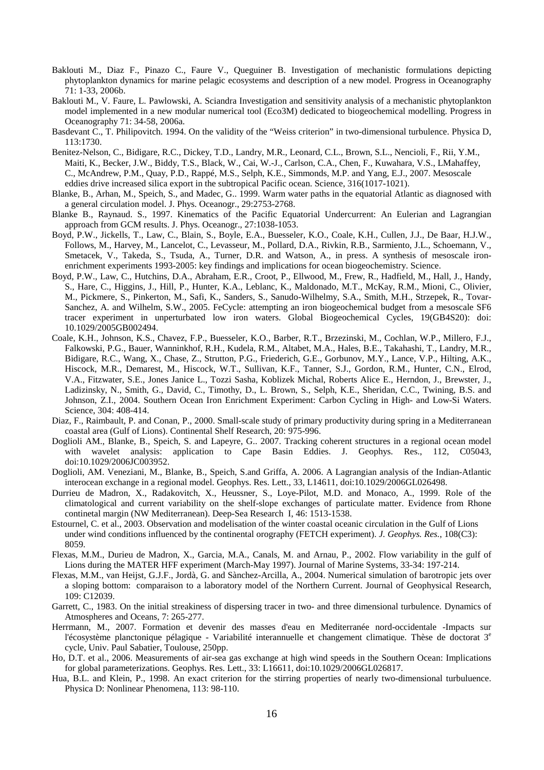- Baklouti M., Diaz F., Pinazo C., Faure V., Queguiner B. Investigation of mechanistic formulations depicting phytoplankton dynamics for marine pelagic ecosystems and description of a new model. Progress in Oceanography 71: 1-33, 2006b.
- Baklouti M., V. Faure, L. Pawlowski, A. Sciandra Investigation and sensitivity analysis of a mechanistic phytoplankton model implemented in a new modular numerical tool (Eco3M) dedicated to biogeochemical modelling. Progress in Oceanography 71: 34-58, 2006a.
- Basdevant C., T. Philipovitch. 1994. On the validity of the "Weiss criterion" in two-dimensional turbulence. Physica D, 113:1730.
- Benitez-Nelson, C., Bidigare, R.C., Dickey, T.D., Landry, M.R., Leonard, C.L., Brown, S.L., Nencioli, F., Rii, Y.M., Maiti, K., Becker, J.W., Biddy, T.S., Black, W., Cai, W.-J., Carlson, C.A., Chen, F., Kuwahara, V.S., LMahaffey, C., McAndrew, P.M., Quay, P.D., Rappé, M.S., Selph, K.E., Simmonds, M.P. and Yang, E.J., 2007. Mesoscale eddies drive increased silica export in the subtropical Pacific ocean. Science, 316(1017-1021).
- Blanke, B., Arhan, M., Speich, S., and Madec, G.. 1999. Warm water paths in the equatorial Atlantic as diagnosed with a general circulation model. J. Phys. Oceanogr., 29:2753-2768.
- Blanke B., Raynaud. S., 1997. Kinematics of the Pacific Equatorial Undercurrent: An Eulerian and Lagrangian approach from GCM results. J. Phys. Oceanogr., 27:1038-1053.
- Boyd, P.W., Jickells, T., Law, C., Blain, S., Boyle, E.A., Buesseler, K.O., Coale, K.H., Cullen, J.J., De Baar, H.J.W., Follows, M., Harvey, M., Lancelot, C., Levasseur, M., Pollard, D.A., Rivkin, R.B., Sarmiento, J.L., Schoemann, V., Smetacek, V., Takeda, S., Tsuda, A., Turner, D.R. and Watson, A., in press. A synthesis of mesoscale ironenrichment experiments 1993-2005: key findings and implications for ocean biogeochemistry. Science.
- Boyd, P.W., Law, C., Hutchins, D.A., Abraham, E.R., Croot, P., Ellwood, M., Frew, R., Hadfield, M., Hall, J., Handy, S., Hare, C., Higgins, J., Hill, P., Hunter, K.A., Leblanc, K., Maldonado, M.T., McKay, R.M., Mioni, C., Olivier, M., Pickmere, S., Pinkerton, M., Safi, K., Sanders, S., Sanudo-Wilhelmy, S.A., Smith, M.H., Strzepek, R., Tovar-Sanchez, A. and Wilhelm, S.W., 2005. FeCycle: attempting an iron biogeochemical budget from a mesoscale SF6 tracer experiment in unperturbated low iron waters. Global Biogeochemical Cycles, 19(GB4S20): doi: 10.1029/2005GB002494.
- Coale, K.H., Johnson, K.S., Chavez, F.P., Buesseler, K.O., Barber, R.T., Brzezinski, M., Cochlan, W.P., Millero, F.J., Falkowski, P.G., Bauer, Wanninkhof, R.H., Kudela, R.M., Altabet, M.A., Hales, B.E., Takahashi, T., Landry, M.R., Bidigare, R.C., Wang, X., Chase, Z., Strutton, P.G., Friederich, G.E., Gorbunov, M.Y., Lance, V.P., Hilting, A.K., Hiscock, M.R., Demarest, M., Hiscock, W.T., Sullivan, K.F., Tanner, S.J., Gordon, R.M., Hunter, C.N., Elrod, V.A., Fitzwater, S.E., Jones Janice L., Tozzi Sasha, Koblizek Michal, Roberts Alice E., Herndon, J., Brewster, J., Ladizinsky, N., Smith, G., David, C., Timothy, D., L. Brown, S., Selph, K.E., Sheridan, C.C., Twining, B.S. and Johnson, Z.I., 2004. Southern Ocean Iron Enrichment Experiment: Carbon Cycling in High- and Low-Si Waters. Science, 304: 408-414.
- Diaz, F., Raimbault, P. and Conan, P., 2000. Small-scale study of primary productivity during spring in a Mediterranean coastal area (Gulf of Lions). Continental Shelf Research, 20: 975-996.
- Doglioli AM., Blanke, B., Speich, S. and Lapeyre, G.. 2007. Tracking coherent structures in a regional ocean model with wavelet analysis: application to Cape Basin Eddies. J. Geophys. Res., 112, C05043, doi:10.1029/2006JC003952.
- Doglioli, AM. Veneziani, M., Blanke, B., Speich, S.and Griffa, A. 2006. A Lagrangian analysis of the Indian-Atlantic interocean exchange in a regional model. Geophys. Res. Lett., 33, L14611, doi:10.1029/2006GL026498.
- Durrieu de Madron, X., Radakovitch, X., Heussner, S., Loye-Pilot, M.D. and Monaco, A., 1999. Role of the climatological and current variability on the shelf-slope exchanges of particulate matter. Evidence from Rhone continetal margin (NW Mediterranean). Deep-Sea Research I, 46: 1513-1538.
- Estournel, C. et al., 2003. Observation and modelisation of the winter coastal oceanic circulation in the Gulf of Lions under wind conditions influenced by the continental orography (FETCH experiment). *J. Geophys. Res.*, 108(C3): 8059.
- Flexas, M.M., Durieu de Madron, X., Garcia, M.A., Canals, M. and Arnau, P., 2002. Flow variability in the gulf of Lions during the MATER HFF experiment (March-May 1997). Journal of Marine Systems, 33-34: 197-214.
- Flexas, M.M., van Heijst, G.J.F., Jordà, G. and Sànchez-Arcilla, A., 2004. Numerical simulation of barotropic jets over a sloping bottom: comparaison to a laboratory model of the Northern Current. Journal of Geophysical Research, 109: C12039.
- Garrett, C., 1983. On the initial streakiness of dispersing tracer in two- and three dimensional turbulence. Dynamics of Atmospheres and Oceans, 7: 265-277.
- Herrmann, M., 2007. Formation et devenir des masses d'eau en Mediterranée nord-occidentale -Impacts sur l'écosystème planctonique pélagique - Variabilité interannuelle et changement climatique. Thèse de doctorat 3<sup>e</sup> cycle, Univ. Paul Sabatier, Toulouse, 250pp.
- Ho, D.T. et al., 2006. Measurements of air-sea gas exchange at high wind speeds in the Southern Ocean: Implications for global parameterizations. Geophys. Res. Lett., 33: L16611, doi:10.1029/2006GL026817.
- Hua, B.L. and Klein, P., 1998. An exact criterion for the stirring properties of nearly two-dimensional turbuluence. Physica D: Nonlinear Phenomena, 113: 98-110.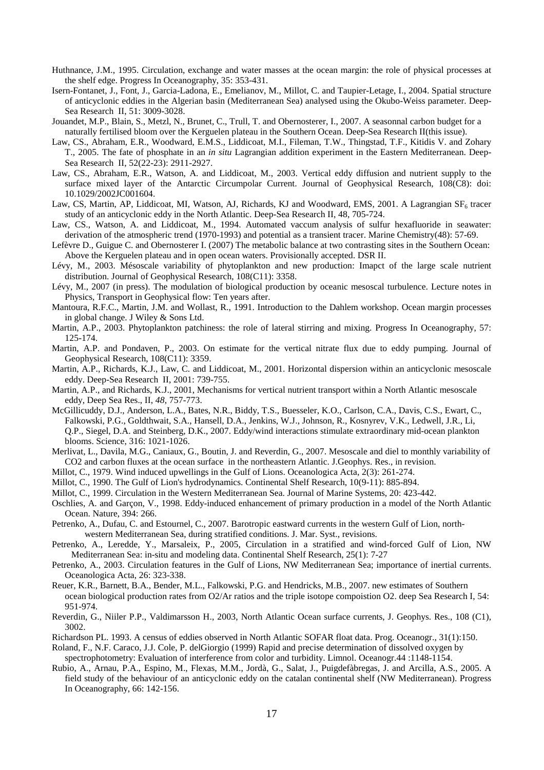- Huthnance, J.M., 1995. Circulation, exchange and water masses at the ocean margin: the role of physical processes at the shelf edge. Progress In Oceanography, 35: 353-431.
- Isern-Fontanet, J., Font, J., Garcia-Ladona, E., Emelianov, M., Millot, C. and Taupier-Letage, I., 2004. Spatial structure of anticyclonic eddies in the Algerian basin (Mediterranean Sea) analysed using the Okubo-Weiss parameter. Deep-Sea Research II, 51: 3009-3028.
- Jouandet, M.P., Blain, S., Metzl, N., Brunet, C., Trull, T. and Obernosterer, I., 2007. A seasonnal carbon budget for a naturally fertilised bloom over the Kerguelen plateau in the Southern Ocean. Deep-Sea Research II(this issue).
- Law, CS., Abraham, E.R., Woodward, E.M.S., Liddicoat, M.I., Fileman, T.W., Thingstad, T.F., Kitidis V. and Zohary T., 2005. The fate of phosphate in an *in situ* Lagrangian addition experiment in the Eastern Mediterranean. Deep-Sea Research II, 52(22-23): 2911-2927.
- Law, CS., Abraham, E.R., Watson, A. and Liddicoat, M., 2003. Vertical eddy diffusion and nutrient supply to the surface mixed layer of the Antarctic Circumpolar Current. Journal of Geophysical Research, 108(C8): doi: 10.1029/2002JC001604.
- Law, CS, Martin, AP, Liddicoat, MI, Watson, AJ, Richards, KJ and Woodward, EMS, 2001. A Lagrangian  $SF<sub>6</sub>$  tracer study of an anticyclonic eddy in the North Atlantic. Deep-Sea Research II, 48, 705-724.
- Law, CS., Watson, A. and Liddicoat, M., 1994. Automated vaccum analysis of sulfur hexafluoride in seawater: derivation of the atmospheric trend (1970-1993) and potential as a transient tracer. Marine Chemistry(48): 57-69.
- Lefèvre D., Guigue C. and Obernosterer I. (2007) The metabolic balance at two contrasting sites in the Southern Ocean: Above the Kerguelen plateau and in open ocean waters. Provisionally accepted. DSR II.
- Lévy, M., 2003. Mésoscale variability of phytoplankton and new production: Imapct of the large scale nutrient distribution. Journal of Geophysical Research, 108(C11): 3358.
- Lévy, M., 2007 (in press). The modulation of biological production by oceanic mesoscal turbulence. Lecture notes in Physics, Transport in Geophysical flow: Ten years after.
- Mantoura, R.F.C., Martin, J.M. and Wollast, R., 1991. Introduction to the Dahlem workshop. Ocean margin processes in global change. J Wiley & Sons Ltd.
- Martin, A.P., 2003. Phytoplankton patchiness: the role of lateral stirring and mixing. Progress In Oceanography, 57: 125-174.
- Martin, A.P. and Pondaven, P., 2003. On estimate for the vertical nitrate flux due to eddy pumping. Journal of Geophysical Research, 108(C11): 3359.
- Martin, A.P., Richards, K.J., Law, C. and Liddicoat, M., 2001. Horizontal dispersion within an anticyclonic mesoscale eddy. Deep-Sea Research II, 2001: 739-755.
- Martin, A.P., and Richards, K.J., 2001, Mechanisms for vertical nutrient transport within a North Atlantic mesoscale eddy, Deep Sea Res., II, *48*, 757-773.
- McGillicuddy, D.J., Anderson, L.A., Bates, N.R., Biddy, T.S., Buesseler, K.O., Carlson, C.A., Davis, C.S., Ewart, C., Falkowski, P.G., Goldthwait, S.A., Hansell, D.A., Jenkins, W.J., Johnson, R., Kosnyrev, V.K., Ledwell, J.R., Li, Q.P., Siegel, D.A. and Steinberg, D.K., 2007. Eddy/wind interactions stimulate extraordinary mid-ocean plankton blooms. Science, 316: 1021-1026.
- Merlivat, L., Davila, M.G., Caniaux, G., Boutin, J. and Reverdin, G., 2007. Mesoscale and diel to monthly variability of CO2 and carbon fluxes at the ocean surface in the northeastern Atlantic. J.Geophys. Res., in revision.
- Millot, C., 1979. Wind induced upwellings in the Gulf of Lions. Oceanologica Acta, 2(3): 261-274.
- Millot, C., 1990. The Gulf of Lion's hydrodynamics. Continental Shelf Research, 10(9-11): 885-894.
- Millot, C., 1999. Circulation in the Western Mediterranean Sea. Journal of Marine Systems, 20: 423-442.
- Oschlies, A. and Garçon, V., 1998. Eddy-induced enhancement of primary production in a model of the North Atlantic Ocean. Nature, 394: 266.
- Petrenko, A., Dufau, C. and Estournel, C., 2007. Barotropic eastward currents in the western Gulf of Lion, northwestern Mediterranean Sea, during stratified conditions. J. Mar. Syst., revisions.
- Petrenko, A., Leredde, Y., Marsaleix, P., 2005, Circulation in a stratified and wind-forced Gulf of Lion, NW Mediterranean Sea: in-situ and modeling data. Continental Shelf Research, 25(1): 7-27
- Petrenko, A., 2003. Circulation features in the Gulf of Lions, NW Mediterranean Sea; importance of inertial currents. Oceanologica Acta, 26: 323-338.
- Reuer, K.R., Barnett, B.A., Bender, M.L., Falkowski, P.G. and Hendricks, M.B., 2007. new estimates of Southern ocean biological production rates from O2/Ar ratios and the triple isotope compoistion O2. deep Sea Research I, 54: 951-974.
- Reverdin, G., Niiler P.P., Valdimarsson H., 2003, North Atlantic Ocean surface currents, J. Geophys. Res., 108 (C1), 3002.
- Richardson PL. 1993. A census of eddies observed in North Atlantic SOFAR float data. Prog. Oceanogr., 31(1):150.
- Roland, F., N.F. Caraco, J.J. Cole, P. delGiorgio (1999) Rapid and precise determination of dissolved oxygen by spectrophotometry: Evaluation of interference from color and turbidity. Limnol. Oceanogr.44 :1148-1154.
- Rubio, A., Arnau, P.A., Espino, M., Flexas, M.M., Jordà, G., Salat, J., Puigdefàbregas, J. and Arcilla, A.S., 2005. A field study of the behaviour of an anticyclonic eddy on the catalan continental shelf (NW Mediterranean). Progress In Oceanography, 66: 142-156.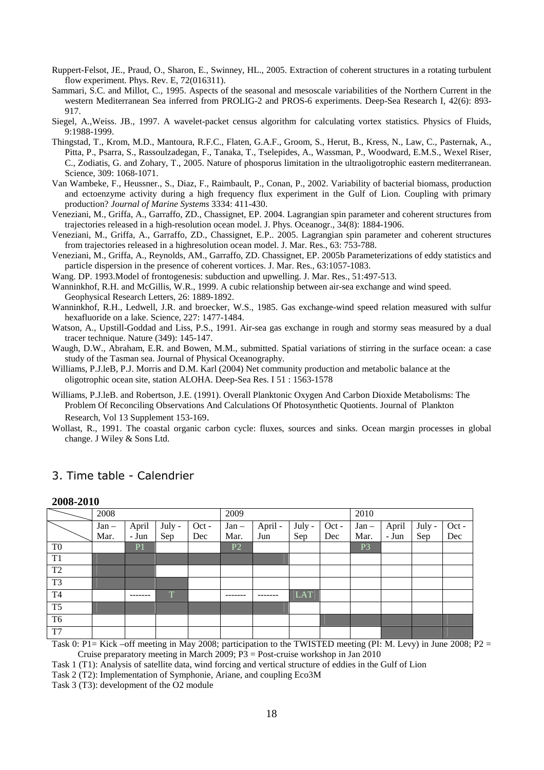- Ruppert-Felsot, JE., Praud, O., Sharon, E., Swinney, HL., 2005. Extraction of coherent structures in a rotating turbulent flow experiment. Phys. Rev. E, 72(016311).
- Sammari, S.C. and Millot, C., 1995. Aspects of the seasonal and mesoscale variabilities of the Northern Current in the western Mediterranean Sea inferred from PROLIG-2 and PROS-6 experiments. Deep-Sea Research I, 42(6): 893- 917.
- Siegel, A.,Weiss. JB., 1997. A wavelet-packet census algorithm for calculating vortex statistics. Physics of Fluids, 9:1988-1999.
- Thingstad, T., Krom, M.D., Mantoura, R.F.C., Flaten, G.A.F., Groom, S., Herut, B., Kress, N., Law, C., Pasternak, A., Pitta, P., Psarra, S., Rassoulzadegan, F., Tanaka, T., Tselepides, A., Wassman, P., Woodward, E.M.S., Wexel Riser, C., Zodiatis, G. and Zohary, T., 2005. Nature of phosporus limitation in the ultraoligotrophic eastern mediterranean. Science, 309: 1068-1071.
- Van Wambeke, F., Heussner., S., Diaz, F., Raimbault, P., Conan, P., 2002. Variability of bacterial biomass, production and ectoenzyme activity during a high frequency flux experiment in the Gulf of Lion. Coupling with primary production? *Journal of Marine Systems* 3334: 411-430.
- Veneziani, M., Griffa, A., Garraffo, ZD., Chassignet, EP. 2004. Lagrangian spin parameter and coherent structures from trajectories released in a high-resolution ocean model. J. Phys. Oceanogr., 34(8): 1884-1906.
- Veneziani, M., Griffa, A., Garraffo, ZD., Chassignet, E.P.. 2005. Lagrangian spin parameter and coherent structures from trajectories released in a highresolution ocean model. J. Mar. Res., 63: 753-788.
- Veneziani, M., Griffa, A., Reynolds, AM., Garraffo, ZD. Chassignet, EP. 2005b Parameterizations of eddy statistics and particle dispersion in the presence of coherent vortices. J. Mar. Res., 63:1057-1083.
- Wang. DP. 1993.Model of frontogenesis: subduction and upwelling. J. Mar. Res., 51:497-513.
- Wanninkhof, R.H. and McGillis, W.R., 1999. A cubic relationship between air-sea exchange and wind speed. Geophysical Research Letters, 26: 1889-1892.
- Wanninkhof, R.H., Ledwell, J.R. and broecker, W.S., 1985. Gas exchange-wind speed relation measured with sulfur hexafluoride on a lake. Science, 227: 1477-1484.
- Watson, A., Upstill-Goddad and Liss, P.S., 1991. Air-sea gas exchange in rough and stormy seas measured by a dual tracer technique. Nature (349): 145-147.
- Waugh, D.W., Abraham, E.R. and Bowen, M.M., submitted. Spatial variations of stirring in the surface ocean: a case study of the Tasman sea. Journal of Physical Oceanography.
- Williams, P.J.leB, P.J. Morris and D.M. Karl (2004) Net community production and metabolic balance at the oligotrophic ocean site, station ALOHA. Deep-Sea Res. I 51 : 1563-1578
- Williams, P.J.leB. and Robertson, J.E. (1991). Overall Planktonic Oxygen And Carbon Dioxide Metabolisms: The Problem Of Reconciling Observations And Calculations Of Photosynthetic Quotients. Journal of Plankton Research, Vol 13 Supplement 153-169.
- Wollast, R., 1991. The coastal organic carbon cycle: fluxes, sources and sinks. Ocean margin processes in global change. J Wiley & Sons Ltd.

|                | 2008-2010 |                |        |       |                |         |        |         |                |       |        |       |
|----------------|-----------|----------------|--------|-------|----------------|---------|--------|---------|----------------|-------|--------|-------|
|                | 2008      |                |        |       | 2009           |         |        |         | 2010           |       |        |       |
|                | $Jan -$   | April          | July - | Oct - | $Jan -$        | April - | July - | $Oct -$ | $Jan -$        | April | July - | Oct - |
|                | Mar.      | - Jun          | Sep    | Dec   | Mar.           | Jun     | Sep    | Dec     | Mar.           | - Jun | Sep    | Dec   |
| T <sub>0</sub> |           | P <sub>1</sub> |        |       | P <sub>2</sub> |         |        |         | P <sub>3</sub> |       |        |       |
| T1             |           |                |        |       |                |         |        |         |                |       |        |       |
| T <sub>2</sub> |           |                |        |       |                |         |        |         |                |       |        |       |
| T <sub>3</sub> |           |                |        |       |                |         |        |         |                |       |        |       |
| T <sub>4</sub> |           |                | T      |       |                |         | LAT    |         |                |       |        |       |
| T <sub>5</sub> |           |                |        |       |                |         |        |         |                |       |        |       |
| T <sub>6</sub> |           |                |        |       |                |         |        |         |                |       |        |       |
| T <sub>7</sub> |           |                |        |       |                |         |        |         |                |       |        |       |

# 3. Time table - Calendrier

Task 0: P1= Kick –off meeting in May 2008; participation to the TWISTED meeting (PI: M. Levy) in June 2008; P2 = Cruise preparatory meeting in March 2009; P3 = Post-cruise workshop in Jan 2010

Task 1 (T1): Analysis of satellite data, wind forcing and vertical structure of eddies in the Gulf of Lion

Task 2 (T2): Implementation of Symphonie, Ariane, and coupling Eco3M

Task 3 (T3): development of the O2 module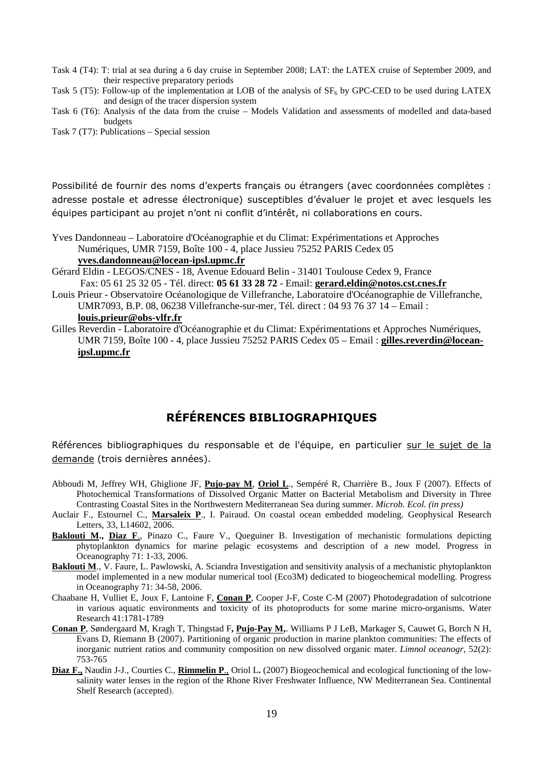Task 4 (T4): T: trial at sea during a 6 day cruise in September 2008; LAT: the LATEX cruise of September 2009, and their respective preparatory periods

Task 5 (T5): Follow-up of the implementation at LOB of the analysis of  $SF<sub>6</sub>$  by GPC-CED to be used during LATEX and design of the tracer dispersion system

Task 6 (T6): Analysis of the data from the cruise – Models Validation and assessments of modelled and data-based budgets

Task 7 (T7): Publications – Special session

Possibilité de fournir des noms d'experts français ou étrangers (avec coordonnées complètes : adresse postale et adresse électronique) susceptibles d'évaluer le projet et avec lesquels les équipes participant au projet n'ont ni conflit d'intérêt, ni collaborations en cours.

Yves Dandonneau – Laboratoire d'Océanographie et du Climat: Expérimentations et Approches Numériques, UMR 7159, Boîte 100 - 4, place Jussieu 75252 PARIS Cedex 05 **yves.dandonneau@locean-ipsl.upmc.fr**

- Gérard Eldin LEGOS/CNES 18, Avenue Edouard Belin 31401 Toulouse Cedex 9, France Fax: 05 61 25 32 05 - Tél. direct: **05 61 33 28 72** - Email: **gerard.eldin@notos.cst.cnes.fr**
- Louis Prieur Observatoire Océanologique de Villefranche, Laboratoire d'Océanographie de Villefranche, UMR7093, B.P. 08, 06238 Villefranche-sur-mer, Tél. direct : 04 93 76 37 14 – Email : **louis.prieur@obs-vlfr.fr**
- Gilles Reverdin Laboratoire d'Océanographie et du Climat: Expérimentations et Approches Numériques, UMR 7159, Boîte 100 - 4, place Jussieu 75252 PARIS Cedex 05 – Email : **gilles.reverdin@loceanipsl.upmc.fr**

# RÉFÉRENCES BIBLIOGRAPHIQUES

Références bibliographiques du responsable et de l'équipe, en particulier sur le sujet de la demande (trois dernières années).

- Abboudi M, Jeffrey WH, Ghiglione JF, **Pujo-pay M**, **Oriol L**., Sempéré R, Charrière B., Joux F (2007). Effects of Photochemical Transformations of Dissolved Organic Matter on Bacterial Metabolism and Diversity in Three Contrasting Coastal Sites in the Northwestern Mediterranean Sea during summer. *Microb. Ecol. (in press)*
- Auclair F., Estournel C., **Marsaleix P**., I. Pairaud. On coastal ocean embedded modeling. Geophysical Research Letters, 33, L14602, 2006.
- **Baklouti M., Diaz F.**, Pinazo C., Faure V., Queguiner B. Investigation of mechanistic formulations depicting phytoplankton dynamics for marine pelagic ecosystems and description of a new model. Progress in Oceanography 71: 1-33, 2006.
- **Baklouti M**., V. Faure, L. Pawlowski, A. Sciandra Investigation and sensitivity analysis of a mechanistic phytoplankton model implemented in a new modular numerical tool (Eco3M) dedicated to biogeochemical modelling. Progress in Oceanography 71: 34-58, 2006.
- Chaabane H, Vulliet E, Joux F, Lantoine F, **Conan P**, Cooper J-F, Coste C-M (2007) Photodegradation of sulcotrione in various aquatic environments and toxicity of its photoproducts for some marine micro-organisms. Water Research 41:1781-1789
- **Conan P**, Søndergaard M, Kragh T, Thingstad F**, Pujo-Pay M,**. Williams P J LeB, Markager S, Cauwet G, Borch N H, Evans D, Riemann B (2007). Partitioning of organic production in marine plankton communities: The effects of inorganic nutrient ratios and community composition on new dissolved organic mater. *Limnol oceanogr,* 52(2): 753-765
- **Diaz F.,** Naudin J-J., Courties C., **Rimmelin P**., Oriol L**.** (2007) Biogeochemical and ecological functioning of the lowsalinity water lenses in the region of the Rhone River Freshwater Influence, NW Mediterranean Sea. Continental Shelf Research (accepted).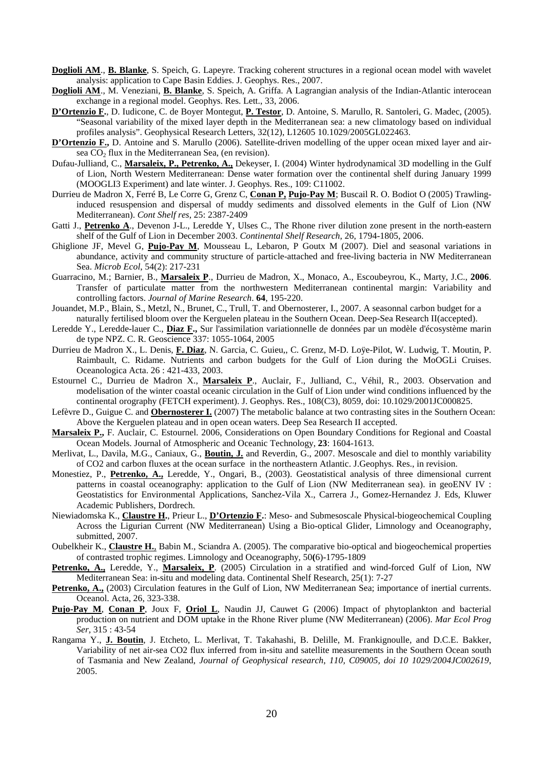- **Doglioli AM**., **B. Blanke**, S. Speich, G. Lapeyre. Tracking coherent structures in a regional ocean model with wavelet analysis: application to Cape Basin Eddies. J. Geophys. Res., 2007.
- **Doglioli AM**., M. Veneziani, **B. Blanke**, S. Speich, A. Griffa. A Lagrangian analysis of the Indian-Atlantic interocean exchange in a regional model. Geophys. Res. Lett., 33, 2006.
- **D'Ortenzio F.**, D. Iudicone, C. de Boyer Montegut, **P. Testor**, D. Antoine, S. Marullo, R. Santoleri, G. Madec, (2005). "Seasonal variability of the mixed layer depth in the Mediterranean sea: a new climatology based on individual profiles analysis". Geophysical Research Letters, 32(12), L12605 10.1029/2005GL022463.
- **D'Ortenzio F.,** D. Antoine and S. Marullo (2006). Satellite-driven modelling of the upper ocean mixed layer and airsea  $CO<sub>2</sub>$  flux in the Mediterranean Sea, (en revision).
- Dufau-Julliand, C., **Marsaleix, P., Petrenko, A.,** Dekeyser, I. (2004) Winter hydrodynamical 3D modelling in the Gulf of Lion, North Western Mediterranean: Dense water formation over the continental shelf during January 1999 (MOOGLI3 Experiment) and late winter. J. Geophys. Res., 109: C11002.
- Durrieu de Madron X, Ferré B, Le Corre G, Grenz C, **Conan P, Pujo-Pay M**; Buscail R. O. Bodiot O (2005) Trawlinginduced resuspension and dispersal of muddy sediments and dissolved elements in the Gulf of Lion (NW Mediterranean). *Cont Shelf res*, 25: 2387-2409
- Gatti J., **Petrenko A.**, Devenon J-L., Leredde Y, Ulses C., The Rhone river dilution zone present in the north-eastern shelf of the Gulf of Lion in December 2003. *Continental Shelf Research*, 26, 1794-1805, 2006.
- Ghiglione JF, Mevel G, **Pujo-Pay M**, Mousseau L, Lebaron, P Goutx M (2007). Diel and seasonal variations in abundance, activity and community structure of particle-attached and free-living bacteria in NW Mediterranean Sea. *Microb Ecol*, 54(2): 217-231
- Guarracino, M.; Barnier, B., **Marsaleix P**., Durrieu de Madron, X., Monaco, A., Escoubeyrou, K., Marty, J.C., **2006**. Transfer of particulate matter from the northwestern Mediterranean continental margin: Variability and controlling factors. *Journal of Marine Research*. **64**, 195-220.
- Jouandet, M.P., Blain, S., Metzl, N., Brunet, C., Trull, T. and Obernosterer, I., 2007. A seasonnal carbon budget for a naturally fertilised bloom over the Kerguelen plateau in the Southern Ocean. Deep-Sea Research II(accepted).
- Leredde Y., Leredde-lauer C., **Diaz F.,** Sur l'assimilation variationnelle de données par un modèle d'écosystème marin de type NPZ. C. R. Geoscience 337: 1055-1064, 2005
- Durrieu de Madron X., L. Denis, **F. Diaz**, N. Garcia, C. Guieu,, C. Grenz, M-D. Loÿe-Pilot, W. Ludwig, T. Moutin, P. Raimbault, C. Ridame. Nutrients and carbon budgets for the Gulf of Lion during the MoOGLi Cruises. Oceanologica Acta. 26 : 421-433, 2003.
- Estournel C., Durrieu de Madron X., **Marsaleix P**., Auclair, F., Julliand, C., Véhil, R., 2003. Observation and modelisation of the winter coastal oceanic circulation in the Gulf of Lion under wind conditions influenced by the continental orography (FETCH experiment). J. Geophys. Res., 108(C3), 8059, doi: 10.1029/2001JC000825.
- Lefèvre D., Guigue C. and **Obernosterer I.** (2007) The metabolic balance at two contrasting sites in the Southern Ocean: Above the Kerguelen plateau and in open ocean waters. Deep Sea Research II accepted.
- **Marsaleix P.,** F. Auclair, C. Estournel. 2006, Considerations on Open Boundary Conditions for Regional and Coastal Ocean Models. Journal of Atmospheric and Oceanic Technology, **23**: 1604-1613.
- Merlivat, L., Davila, M.G., Caniaux, G., **Boutin, J.** and Reverdin, G., 2007. Mesoscale and diel to monthly variability of CO2 and carbon fluxes at the ocean surface in the northeastern Atlantic. J.Geophys. Res., in revision.
- Monestiez, P., **Petrenko, A.,** Leredde, Y., Ongari, B., (2003). Geostatistical analysis of three dimensional current patterns in coastal oceanography: application to the Gulf of Lion (NW Mediterranean sea). in geoENV IV : Geostatistics for Environmental Applications, Sanchez-Vila X., Carrera J., Gomez-Hernandez J. Eds, Kluwer Academic Publishers, Dordrech.
- Niewiadomska K., **Claustre H.**, Prieur L., **D'Ortenzio F.**: Meso- and Submesoscale Physical-biogeochemical Coupling Across the Ligurian Current (NW Mediterranean) Using a Bio-optical Glider, Limnology and Oceanography, submitted, 2007.
- Oubelkheir K., **Claustre H.**, Babin M., Sciandra A. (2005). The comparative bio-optical and biogeochemical properties of contrasted trophic regimes. Limnology and Oceanography, 50**(**6)-1795-1809
- **Petrenko, A.,** Leredde, Y., **Marsaleix, P**. (2005) Circulation in a stratified and wind-forced Gulf of Lion, NW Mediterranean Sea: in-situ and modeling data. Continental Shelf Research, 25(1): 7-27
- Petrenko, A., (2003) Circulation features in the Gulf of Lion, NW Mediterranean Sea; importance of inertial currents. Oceanol. Acta, 26, 323-338.
- **Pujo-Pay M**, **Conan P**, Joux F, **Oriol L**, Naudin JJ, Cauwet G (2006) Impact of phytoplankton and bacterial production on nutrient and DOM uptake in the Rhone River plume (NW Mediterranean) (2006). *Mar Ecol Prog Ser,* 315 : 43-54
- Rangama Y., **J. Boutin**, J. Etcheto, L. Merlivat, T. Takahashi, B. Delille, M. Frankignoulle, and D.C.E. Bakker, Variability of net air-sea CO2 flux inferred from in-situ and satellite measurements in the Southern Ocean south of Tasmania and New Zealand, *Journal of Geophysical research*, *110, C09005, doi 10 1029/2004JC002619*, 2005.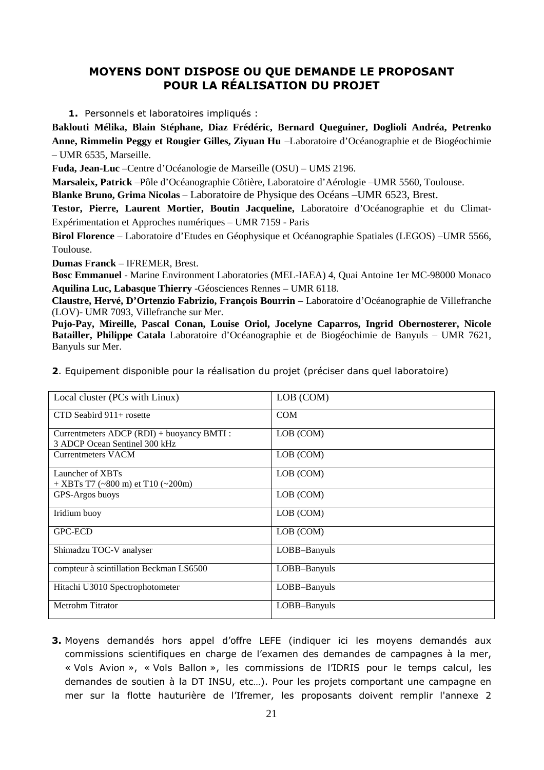# MOYENS DONT DISPOSE OU QUE DEMANDE LE PROPOSANT POUR LA RÉALISATION DU PROJET

1. Personnels et laboratoires impliqués :

**Baklouti Mélika, Blain Stéphane, Diaz Frédéric, Bernard Queguiner, Doglioli Andréa, Petrenko Anne, Rimmelin Peggy et Rougier Gilles, Ziyuan Hu** –Laboratoire d'Océanographie et de Biogéochimie – UMR 6535, Marseille.

**Fuda, Jean-Luc** –Centre d'Océanologie de Marseille (OSU) – UMS 2196.

**Marsaleix, Patrick** –Pôle d'Océanographie Côtière, Laboratoire d'Aérologie –UMR 5560, Toulouse.

**Blanke Bruno, Grima Nicolas** – Laboratoire de Physique des Océans –UMR 6523, Brest.

**Testor, Pierre, Laurent Mortier, Boutin Jacqueline,** Laboratoire d'Océanographie et du Climat-Expérimentation et Approches numériques – UMR 7159 - Paris

**Birol Florence** – Laboratoire d'Etudes en Géophysique et Océanographie Spatiales (LEGOS) –UMR 5566, Toulouse.

**Dumas Franck** – IFREMER, Brest.

**Bosc Emmanuel** - Marine Environment Laboratories (MEL-IAEA) 4, Quai Antoine 1er MC-98000 Monaco **Aquilina Luc, Labasque Thierry** -Géosciences Rennes – UMR 6118.

**Claustre, Hervé, D'Ortenzio Fabrizio, François Bourrin** – Laboratoire d'Océanographie de Villefranche (LOV)- UMR 7093, Villefranche sur Mer.

**Pujo-Pay, Mireille, Pascal Conan, Louise Oriol, Jocelyne Caparros, Ingrid Obernosterer, Nicole Batailler, Philippe Catala** Laboratoire d'Océanographie et de Biogéochimie de Banyuls – UMR 7621, Banyuls sur Mer.

2. Equipement disponible pour la réalisation du projet (préciser dans quel laboratoire)

| Local cluster (PCs with Linux)             | LOB (COM)    |
|--------------------------------------------|--------------|
| CTD Seabird 911+ rosette                   | <b>COM</b>   |
| Currentmeters ADCP (RDI) + buoyancy BMTI : | LOB (COM)    |
| 3 ADCP Ocean Sentinel 300 kHz              |              |
| <b>Currentmeters VACM</b>                  | LOB (COM)    |
| Launcher of XBTs                           | LOB (COM)    |
| $+$ XBTs T7 (~800 m) et T10 (~200m)        |              |
| GPS-Argos buoys                            | LOB (COM)    |
| Iridium buoy                               | LOB (COM)    |
| <b>GPC-ECD</b>                             | LOB (COM)    |
| Shimadzu TOC-V analyser                    | LOBB-Banyuls |
| compteur à scintillation Beckman LS6500    | LOBB-Banyuls |
| Hitachi U3010 Spectrophotometer            | LOBB-Banyuls |
| Metrohm Titrator                           | LOBB-Banyuls |

3. Moyens demandés hors appel d'offre LEFE (indiquer ici les moyens demandés aux commissions scientifiques en charge de l'examen des demandes de campagnes à la mer, « Vols Avion », « Vols Ballon », les commissions de l'IDRIS pour le temps calcul, les demandes de soutien à la DT INSU, etc…). Pour les projets comportant une campagne en mer sur la flotte hauturière de l'Ifremer, les proposants doivent remplir l'annexe 2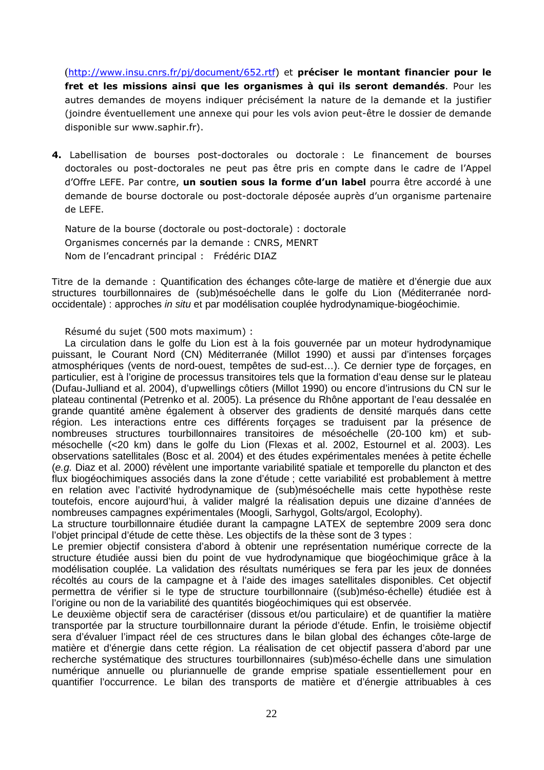(http://www.insu.cnrs.fr/pj/document/652.rtf) et préciser le montant financier pour le fret et les missions ainsi que les organismes à qui ils seront demandés. Pour les autres demandes de moyens indiquer précisément la nature de la demande et la justifier (joindre éventuellement une annexe qui pour les vols avion peut-être le dossier de demande disponible sur www.saphir.fr).

4. Labellisation de bourses post-doctorales ou doctorale : Le financement de bourses doctorales ou post-doctorales ne peut pas être pris en compte dans le cadre de l'Appel d'Offre LEFE. Par contre, **un soutien sous la forme d'un label** pourra être accordé à une demande de bourse doctorale ou post-doctorale déposée auprès d'un organisme partenaire de LEFE.

Nature de la bourse (doctorale ou post-doctorale) : doctorale Organismes concernés par la demande : CNRS, MENRT Nom de l'encadrant principal : Frédéric DIAZ

Titre de la demande : Quantification des échanges côte-large de matière et d'énergie due aux structures tourbillonnaires de (sub)mésoéchelle dans le golfe du Lion (Méditerranée nordoccidentale) : approches in situ et par modélisation couplée hydrodynamique-biogéochimie.

Résumé du sujet (500 mots maximum) :

La circulation dans le golfe du Lion est à la fois gouvernée par un moteur hydrodynamique puissant, le Courant Nord (CN) Méditerranée (Millot 1990) et aussi par d'intenses forçages atmosphériques (vents de nord-ouest, tempêtes de sud-est…). Ce dernier type de forçages, en particulier, est à l'origine de processus transitoires tels que la formation d'eau dense sur le plateau (Dufau-Julliand et al. 2004), d'upwellings côtiers (Millot 1990) ou encore d'intrusions du CN sur le plateau continental (Petrenko et al. 2005). La présence du Rhône apportant de l'eau dessalée en grande quantité amène également à observer des gradients de densité marqués dans cette région. Les interactions entre ces différents forçages se traduisent par la présence de nombreuses structures tourbillonnaires transitoires de mésoéchelle (20-100 km) et submésochelle (<20 km) dans le golfe du Lion (Flexas et al. 2002, Estournel et al. 2003). Les observations satellitales (Bosc et al. 2004) et des études expérimentales menées à petite échelle (e.g. Diaz et al. 2000) révèlent une importante variabilité spatiale et temporelle du plancton et des flux biogéochimiques associés dans la zone d'étude ; cette variabilité est probablement à mettre en relation avec l'activité hydrodynamique de (sub)mésoéchelle mais cette hypothèse reste toutefois, encore aujourd'hui, à valider malgré la réalisation depuis une dizaine d'années de nombreuses campagnes expérimentales (Moogli, Sarhygol, Golts/argol, Ecolophy).

La structure tourbillonnaire étudiée durant la campagne LATEX de septembre 2009 sera donc l'objet principal d'étude de cette thèse. Les objectifs de la thèse sont de 3 types :

Le premier objectif consistera d'abord à obtenir une représentation numérique correcte de la structure étudiée aussi bien du point de vue hydrodynamique que biogéochimique grâce à la modélisation couplée. La validation des résultats numériques se fera par les jeux de données récoltés au cours de la campagne et à l'aide des images satellitales disponibles. Cet objectif permettra de vérifier si le type de structure tourbillonnaire ((sub)méso-échelle) étudiée est à l'origine ou non de la variabilité des quantités biogéochimiques qui est observée.

Le deuxième objectif sera de caractériser (dissous et/ou particulaire) et de quantifier la matière transportée par la structure tourbillonnaire durant la période d'étude. Enfin, le troisième objectif sera d'évaluer l'impact réel de ces structures dans le bilan global des échanges côte-large de matière et d'énergie dans cette région. La réalisation de cet objectif passera d'abord par une recherche systématique des structures tourbillonnaires (sub)méso-échelle dans une simulation numérique annuelle ou pluriannuelle de grande emprise spatiale essentiellement pour en quantifier l'occurrence. Le bilan des transports de matière et d'énergie attribuables à ces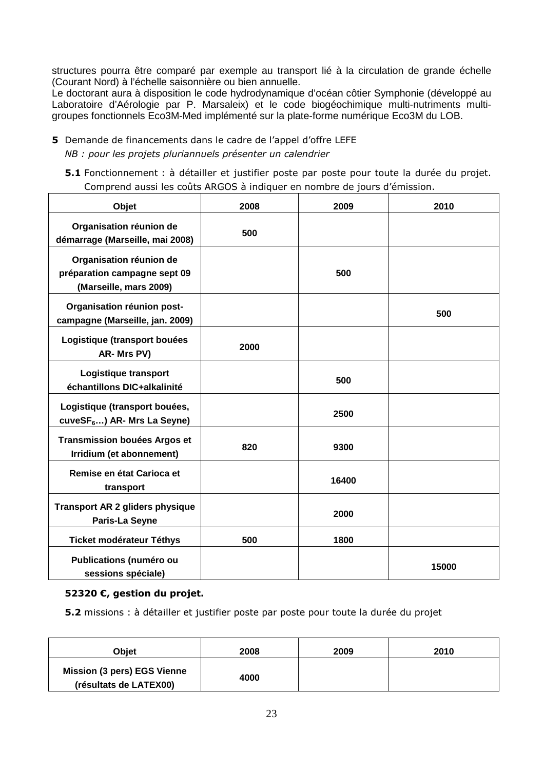structures pourra être comparé par exemple au transport lié à la circulation de grande échelle (Courant Nord) à l'échelle saisonnière ou bien annuelle.

Le doctorant aura à disposition le code hydrodynamique d'océan côtier Symphonie (développé au Laboratoire d'Aérologie par P. Marsaleix) et le code biogéochimique multi-nutriments multigroupes fonctionnels Eco3M-Med implémenté sur la plate-forme numérique Eco3M du LOB.

- 5 Demande de financements dans le cadre de l'appel d'offre LEFE NB : pour les projets pluriannuels présenter un calendrier
	- 5.1 Fonctionnement : à détailler et justifier poste par poste pour toute la durée du projet. Comprend aussi les coûts ARGOS à indiquer en nombre de jours d'émission.

| Objet                                                                             | 2008 | 2009  | 2010  |
|-----------------------------------------------------------------------------------|------|-------|-------|
| Organisation réunion de<br>démarrage (Marseille, mai 2008)                        | 500  |       |       |
| Organisation réunion de<br>préparation campagne sept 09<br>(Marseille, mars 2009) |      | 500   |       |
| Organisation réunion post-<br>campagne (Marseille, jan. 2009)                     |      |       | 500   |
| Logistique (transport bouées<br>AR-Mrs PV)                                        | 2000 |       |       |
| Logistique transport<br>échantillons DIC+alkalinité                               |      | 500   |       |
| Logistique (transport bouées,<br>cuveSF <sub>6</sub> ) AR- Mrs La Seyne)          |      | 2500  |       |
| <b>Transmission bouées Argos et</b><br>Irridium (et abonnement)                   | 820  | 9300  |       |
| Remise en état Carioca et<br>transport                                            |      | 16400 |       |
| <b>Transport AR 2 gliders physique</b><br>Paris-La Seyne                          |      | 2000  |       |
| <b>Ticket modérateur Téthys</b>                                                   | 500  | 1800  |       |
| Publications (numéro ou<br>sessions spéciale)                                     |      |       | 15000 |

### 52320 €, gestion du projet.

5.2 missions : à détailler et justifier poste par poste pour toute la durée du projet

| <b>Obiet</b>                                                 | 2008 | 2009 | 2010 |
|--------------------------------------------------------------|------|------|------|
| <b>Mission (3 pers) EGS Vienne</b><br>(résultats de LATEX00) | 4000 |      |      |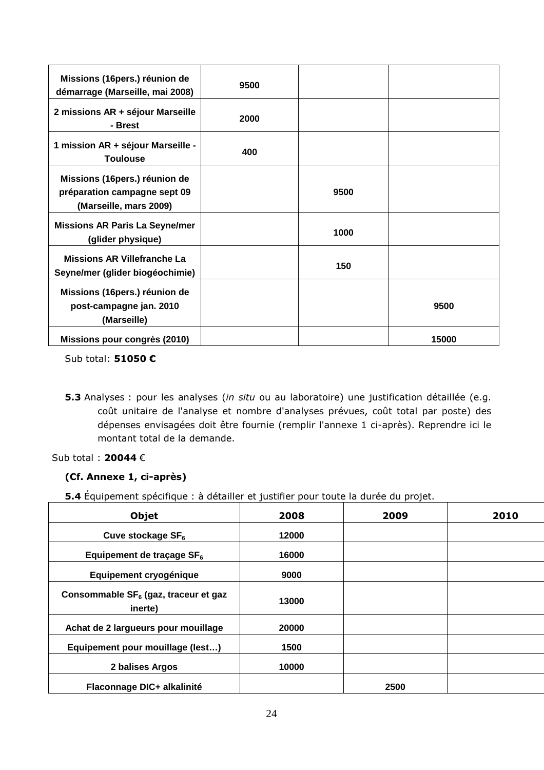| Missions (16pers.) réunion de<br>démarrage (Marseille, mai 2008)                        | 9500 |      |       |
|-----------------------------------------------------------------------------------------|------|------|-------|
| 2 missions AR + séjour Marseille<br>- Brest                                             | 2000 |      |       |
| 1 mission AR + séjour Marseille -<br><b>Toulouse</b>                                    | 400  |      |       |
| Missions (16pers.) réunion de<br>préparation campagne sept 09<br>(Marseille, mars 2009) |      | 9500 |       |
| <b>Missions AR Paris La Seyne/mer</b><br>(glider physique)                              |      | 1000 |       |
| <b>Missions AR Villefranche La</b><br>Seyne/mer (glider biogéochimie)                   |      | 150  |       |
| Missions (16pers.) réunion de<br>post-campagne jan. 2010<br>(Marseille)                 |      |      | 9500  |
| Missions pour congrès (2010)                                                            |      |      | 15000 |

Sub total: 51050 €

5.3 Analyses : pour les analyses (in situ ou au laboratoire) une justification détaillée (e.g. coût unitaire de l'analyse et nombre d'analyses prévues, coût total par poste) des dépenses envisagées doit être fournie (remplir l'annexe 1 ci-après). Reprendre ici le montant total de la demande.

# Sub total : 20044 €

# (Cf. Annexe 1, ci-après)

5.4 Équipement spécifique : à détailler et justifier pour toute la durée du projet.

| Objet                                                       | 2008  | 2009 | 2010 |
|-------------------------------------------------------------|-------|------|------|
| Cuve stockage SF <sub>6</sub>                               | 12000 |      |      |
| Equipement de traçage SF <sub>6</sub>                       | 16000 |      |      |
| Equipement cryogénique                                      | 9000  |      |      |
| Consommable SF <sub>6</sub> (gaz, traceur et gaz<br>inerte) | 13000 |      |      |
| Achat de 2 largueurs pour mouillage                         | 20000 |      |      |
| Equipement pour mouillage (lest)                            | 1500  |      |      |
| 2 balises Argos                                             | 10000 |      |      |
| Flaconnage DIC+ alkalinité                                  |       | 2500 |      |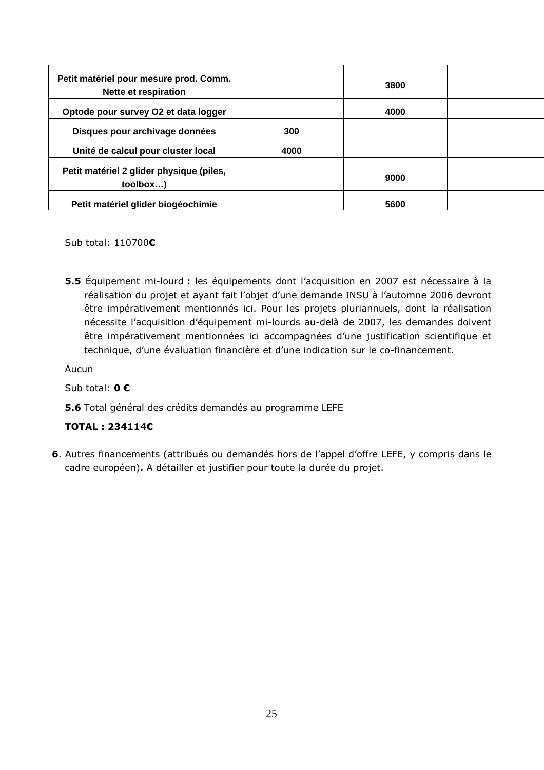| Petit matériel pour mesure prod. Comm.<br>Nette et respiration |      | 3800 |  |
|----------------------------------------------------------------|------|------|--|
| Optode pour survey O2 et data logger                           |      | 4000 |  |
| Disques pour archivage données                                 | 300  |      |  |
| Unité de calcul pour cluster local                             | 4000 |      |  |
| Petit matériel 2 glider physique (piles,<br>toolbox)           |      | 9000 |  |
| Petit matériel glider biogéochimie                             |      | 5600 |  |

Sub total: 110700€

5.5 Équipement mi-lourd : les équipements dont l'acquisition en 2007 est nécessaire à la réalisation du projet et ayant fait l'objet d'une demande INSU à l'automne 2006 devront être impérativement mentionnés ici. Pour les projets pluriannuels, dont la réalisation nécessite l'acquisition d'équipement mi-lourds au-delà de 2007, les demandes doivent être impérativement mentionnées ici accompagnées d'une justification scientifique et technique, d'une évaluation financière et d'une indication sur le co-financement.

Aucun

Sub total: 0 €

# 5.6 Total général des crédits demandés au programme LEFE

# TOTAL : 234114€

6. Autres financements (attribués ou demandés hors de l'appel d'offre LEFE, y compris dans le cadre européen). A détailler et justifier pour toute la durée du projet.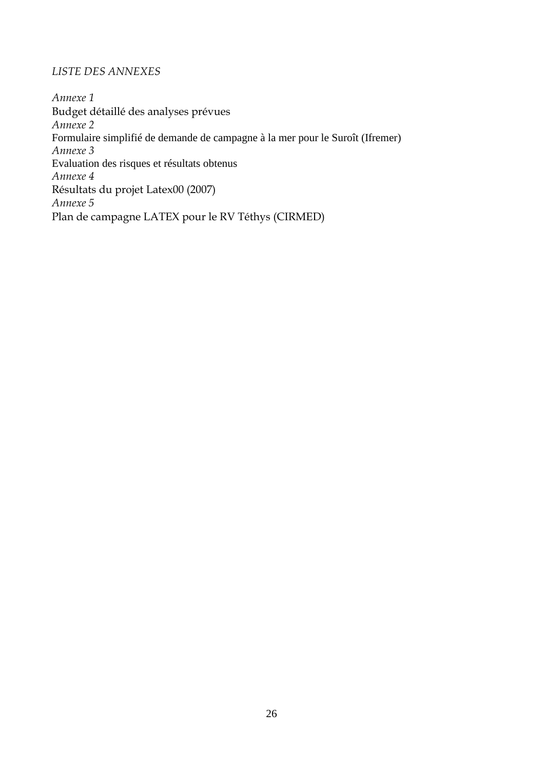# LISTE DES ANNEXES

Annexe 1 Budget détaillé des analyses prévues Annexe 2 Formulaire simplifié de demande de campagne à la mer pour le Suroît (Ifremer) Annexe 3 Evaluation des risques et résultats obtenus Annexe 4 Résultats du projet Latex00 (2007) Annexe 5 Plan de campagne LATEX pour le RV Téthys (CIRMED)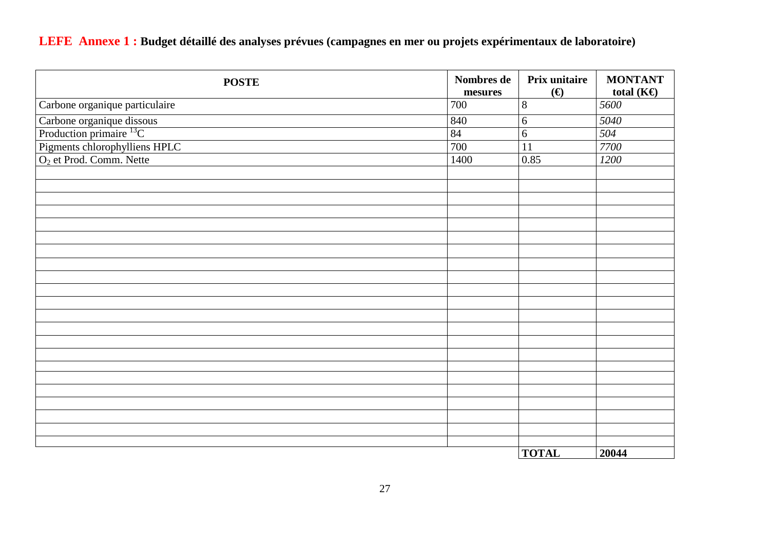**LEFE Annexe 1 : Budget détaillé des analyses prévues (campagnes en mer ou projets expérimentaux de laboratoire)** 

| <b>POSTE</b>                                                | Nombres de<br>mesures | Prix unitaire<br>$(\boldsymbol{\epsilon})$ | <b>MONTANT</b><br>total $(KE)$ |
|-------------------------------------------------------------|-----------------------|--------------------------------------------|--------------------------------|
| Carbone organique particulaire                              | 700                   | $\,8\,$                                    | 5600                           |
| Carbone organique dissous<br>Production primaire ${}^{13}C$ | 840                   | 6                                          | 5040                           |
|                                                             | 84                    | $\overline{6}$                             | 504                            |
| Pigments chlorophylliens HPLC                               | 700                   | 11                                         | 7700                           |
| O <sub>2</sub> et Prod. Comm. Nette                         | 1400                  | 0.85                                       | 1200                           |
|                                                             |                       |                                            |                                |
|                                                             |                       |                                            |                                |
|                                                             |                       |                                            |                                |
|                                                             |                       |                                            |                                |
|                                                             |                       |                                            |                                |
|                                                             |                       |                                            |                                |
|                                                             |                       |                                            |                                |
|                                                             |                       |                                            |                                |
|                                                             |                       |                                            |                                |
|                                                             |                       |                                            |                                |
|                                                             |                       |                                            |                                |
|                                                             |                       |                                            |                                |
|                                                             |                       |                                            |                                |
|                                                             |                       |                                            |                                |
|                                                             |                       |                                            |                                |
|                                                             |                       |                                            |                                |
|                                                             |                       |                                            |                                |
|                                                             |                       |                                            |                                |
|                                                             |                       |                                            |                                |
|                                                             |                       |                                            |                                |
|                                                             |                       |                                            |                                |
|                                                             |                       | <b>TOTAL</b>                               | 20044                          |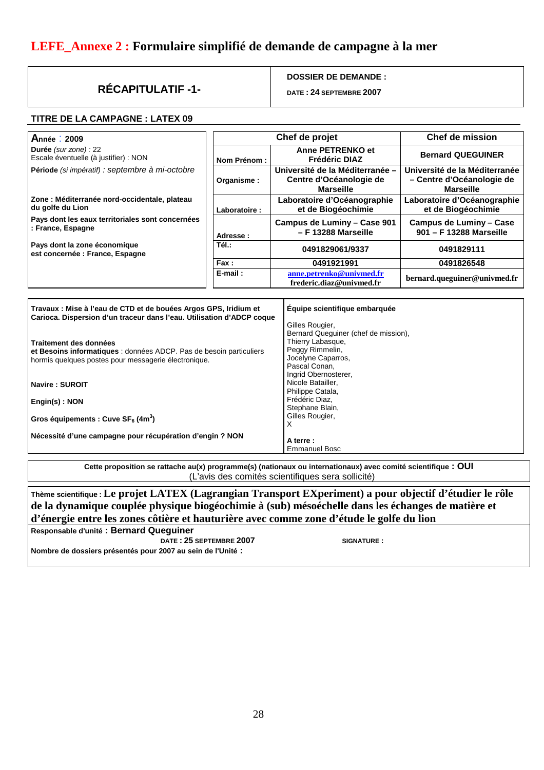# **LEFE\_Annexe 2 : Formulaire simplifié de demande de campagne à la mer**

# **RÉCAPITULATIF -1-**

### **DOSSIER DE DEMANDE :**

**DATE : 24 SEPTEMBRE 2007** 

### **TITRE DE LA CAMPAGNE : LATEX 09**

|              | Chef de projet                                                                 | <b>Chef de mission</b>                                                         |
|--------------|--------------------------------------------------------------------------------|--------------------------------------------------------------------------------|
| Nom Prénom : | Anne PETRENKO et<br>Frédéric DIAZ                                              | <b>Bernard QUEGUINER</b>                                                       |
| Organisme:   | Université de la Méditerranée -<br>Centre d'Océanologie de<br><b>Marseille</b> | Université de la Méditerranée<br>- Centre d'Océanologie de<br><b>Marseille</b> |
| Laboratoire: | Laboratoire d'Océanographie<br>et de Biogéochimie                              | Laboratoire d'Océanographie<br>et de Biogéochimie                              |
| Adresse:     | Campus de Luminy - Case 901<br>- F 13288 Marseille                             | <b>Campus de Luminy - Case</b><br>901 - F 13288 Marseille                      |
| Tél.:        | 0491829061/9337                                                                | 0491829111                                                                     |
| Fax:         | 0491921991                                                                     | 0491826548                                                                     |
| $E$ -mail:   | anne.petrenko@univmed.fr<br>frederic.diaz@univmed.fr                           | bernard.queguiner@univmed.fr                                                   |
|              |                                                                                |                                                                                |

| Travaux : Mise à l'eau de CTD et de bouées Argos GPS, Iridium et<br>Carioca. Dispersion d'un traceur dans l'eau. Utilisation d'ADCP coque | Équipe scientifique embarquée        |
|-------------------------------------------------------------------------------------------------------------------------------------------|--------------------------------------|
|                                                                                                                                           | Gilles Rougier,                      |
|                                                                                                                                           | Bernard Queguiner (chef de mission), |
| Traitement des données                                                                                                                    | Thierry Labasque,                    |
| et Besoins informatiques : données ADCP. Pas de besoin particuliers                                                                       | Peggy Rimmelin,                      |
| hormis quelques postes pour messagerie électronique.                                                                                      | Jocelyne Caparros,                   |
|                                                                                                                                           | Pascal Conan,                        |
|                                                                                                                                           | Ingrid Obernosterer,                 |
| Navire: SUROIT                                                                                                                            | Nicole Batailler,                    |
|                                                                                                                                           | Philippe Catala,                     |
| Engin(s): NON                                                                                                                             | Frédéric Diaz,                       |
|                                                                                                                                           | Stephane Blain,                      |
| Gros équipements : Cuve $SF6$ (4m <sup>3</sup> )                                                                                          | Gilles Rougier,                      |
|                                                                                                                                           | х                                    |
| Nécessité d'une campagne pour récupération d'engin ? NON                                                                                  |                                      |
|                                                                                                                                           | A terre:                             |
|                                                                                                                                           | <b>Emmanuel Bosc</b>                 |

**Cette proposition se rattache au(x) programme(s) (nationaux ou internationaux) avec comité scientifique : OUI**  (L'avis des comités scientifiques sera sollicité)

**Thème scientifique : Le projet LATEX (Lagrangian Transport EXperiment) a pour objectif d'étudier le rôle de la dynamique couplée physique biogéochimie à (sub) mésoéchelle dans les échanges de matière et d'énergie entre les zones côtière et hauturière avec comme zone d'étude le golfe du lion** 

**Responsable d'unité : Bernard Queguiner DATE : 25 SEPTEMBRE 2007 SIGNATURE : Nombre de dossiers présentés pour 2007 au sein de l'Unité :**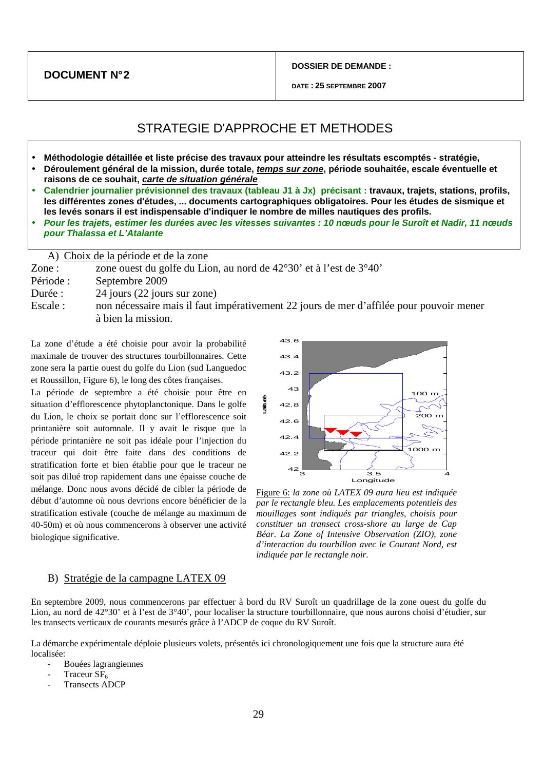**DOCUMENT N° 2** 

**DOSSIER DE DEMANDE :** 

# STRATEGIE D'APPROCHE ET METHODES

- **Méthodologie détaillée et liste précise des travaux pour atteindre les résultats escomptés stratégie,**
- **Déroulement général de la mission, durée totale, temps sur zone, période souhaitée, escale éventuelle et raisons de ce souhait, carte de situation générale**
- **Calendrier journalier prévisionnel des travaux (tableau J1 à Jx) précisant : travaux, trajets, stations, profils, les différentes zones d'études, ... documents cartographiques obligatoires. Pour les études de sismique et les levés sonars il est indispensable d'indiquer le nombre de milles nautiques des profils.**
- **Pour les trajets, estimer les durées avec les vitesses suivantes : 10 nœuds pour le Suroît et Nadir, 11 nœuds pour Thalassa et L'Atalante**

A) Choix de la période et de la zone

Zone : zone ouest du golfe du Lion, au nord de 42°30' et à l'est de 3°40'

Période : Septembre 2009 Durée : 24 jours (22 jours sur zone) Escale : non nécessaire mais il faut impérativement 22 jours de mer d'affilée pour pouvoir mener à bien la mission.

La zone d'étude a été choisie pour avoir la probabilité maximale de trouver des structures tourbillonnaires. Cette zone sera la partie ouest du golfe du Lion (sud Languedoc et Roussillon, Figure 6), le long des côtes françaises.

La période de septembre a été choisie pour être en situation d'efflorescence phytoplanctonique. Dans le golfe du Lion, le choix se portait donc sur l'efflorescence soit printanière soit automnale. Il y avait le risque que la période printanière ne soit pas idéale pour l'injection du traceur qui doit être faite dans des conditions de stratification forte et bien établie pour que le traceur ne soit pas dilué trop rapidement dans une épaisse couche de mélange. Donc nous avons décidé de cibler la période de début d'automne où nous devrions encore bénéficier de la stratification estivale (couche de mélange au maximum de 40-50m) et où nous commencerons à observer une activité biologique significative.



Figure 6: *la zone où LATEX 09 aura lieu est indiquée par le rectangle bleu. Les emplacements potentiels des mouillages sont indiqués par triangles, choisis pour constituer un transect cross-shore au large de Cap Béar. La Zone of Intensive Observation (ZIO), zone d'interaction du tourbillon avec le Courant Nord, est indiquée par le rectangle noir.*

### B) Stratégie de la campagne LATEX 09

En septembre 2009, nous commencerons par effectuer à bord du RV Suroît un quadrillage de la zone ouest du golfe du Lion, au nord de 42°30' et à l'est de 3°40', pour localiser la structure tourbillonnaire, que nous aurons choisi d'étudier, sur les transects verticaux de courants mesurés grâce à l'ADCP de coque du RV Suroît.

La démarche expérimentale déploie plusieurs volets, présentés ici chronologiquement une fois que la structure aura été localisée:

- Bouées lagrangiennes
- Traceur  $SF<sub>6</sub>$
- Transects ADCP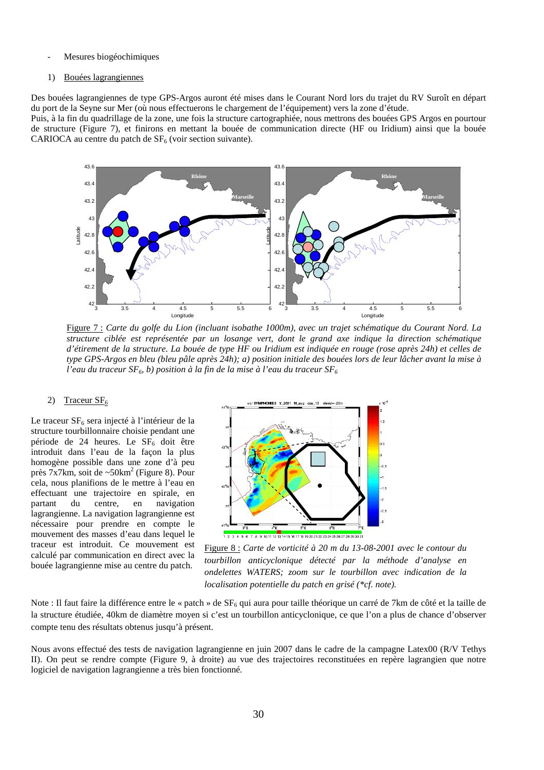#### Mesures biogéochimiques

#### 1) Bouées lagrangiennes

Des bouées lagrangiennes de type GPS-Argos auront été mises dans le Courant Nord lors du trajet du RV Suroît en départ du port de la Seyne sur Mer (où nous effectuerons le chargement de l'équipement) vers la zone d'étude.

Puis, à la fin du quadrillage de la zone, une fois la structure cartographiée, nous mettrons des bouées GPS Argos en pourtour de structure (Figure 7), et finirons en mettant la bouée de communication directe (HF ou Iridium) ainsi que la bouée CARIOCA au centre du patch de  $SF<sub>6</sub>$  (voir section suivante).



Figure 7 : *Carte du golfe du Lion (incluant isobathe 1000m), avec un trajet schématique du Courant Nord. La structure ciblée est représentée par un losange vert, dont le grand axe indique la direction schématique d'étirement de la structure. La bouée de type HF ou Iridium est indiquée en rouge (rose après 24h) et celles de type GPS-Argos en bleu (bleu pâle après 24h); a) position initiale des bouées lors de leur lâcher avant la mise à l'eau du traceur SF6, b) position à la fin de la mise à l'eau du traceur SF<sup>6</sup>*

#### 2) Traceur  $SF<sub>6</sub>$

Le traceur  $SF<sub>6</sub>$  sera injecté à l'intérieur de la structure tourbillonnaire choisie pendant une période de 24 heures. Le  $SF<sub>6</sub>$  doit être introduit dans l'eau de la façon la plus homogène possible dans une zone d'à peu près  $7x7km$ , soit de ~50km<sup>2</sup> (Figure 8). Pour cela, nous planifions de le mettre à l'eau en effectuant une trajectoire en spirale, en partant du centre, en navigation lagrangienne. La navigation lagrangienne est nécessaire pour prendre en compte le mouvement des masses d'eau dans lequel le traceur est introduit. Ce mouvement est calculé par communication en direct avec la bouée lagrangienne mise au centre du patch.



Figure 8 : *Carte de vorticité à 20 m du 13-08-2001 avec le contour du tourbillon anticyclonique détecté par la méthode d'analyse en ondelettes WATERS; zoom sur le tourbillon avec indication de la localisation potentielle du patch en grisé (\*cf. note).*

Note : Il faut faire la différence entre le « patch » de  $SF_6$  qui aura pour taille théorique un carré de 7km de côté et la taille de la structure étudiée, 40km de diamètre moyen si c'est un tourbillon anticyclonique, ce que l'on a plus de chance d'observer compte tenu des résultats obtenus jusqu'à présent.

Nous avons effectué des tests de navigation lagrangienne en juin 2007 dans le cadre de la campagne Latex00 (R/V Tethys II). On peut se rendre compte (Figure 9, à droite) au vue des trajectoires reconstituées en repère lagrangien que notre logiciel de navigation lagrangienne a très bien fonctionné.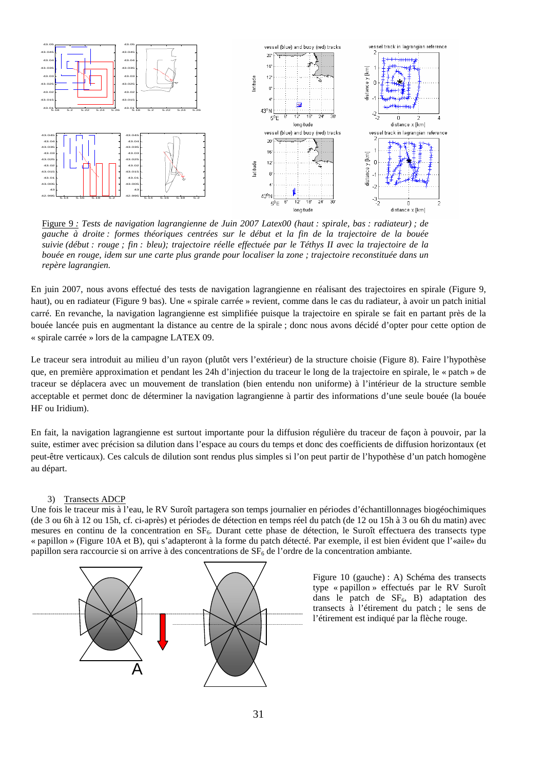

Figure 9 *: Tests de navigation lagrangienne de Juin 2007 Latex00 (haut : spirale, bas : radiateur) ; de gauche à droite : formes théoriques centrées sur le début et la fin de la trajectoire de la bouée suivie (début : rouge ; fin : bleu); trajectoire réelle effectuée par le Téthys II avec la trajectoire de la bouée en rouge, idem sur une carte plus grande pour localiser la zone ; trajectoire reconstituée dans un repère lagrangien.*

En juin 2007, nous avons effectué des tests de navigation lagrangienne en réalisant des trajectoires en spirale (Figure 9, haut), ou en radiateur (Figure 9 bas). Une « spirale carrée » revient, comme dans le cas du radiateur, à avoir un patch initial carré. En revanche, la navigation lagrangienne est simplifiée puisque la trajectoire en spirale se fait en partant près de la bouée lancée puis en augmentant la distance au centre de la spirale ; donc nous avons décidé d'opter pour cette option de « spirale carrée » lors de la campagne LATEX 09.

Le traceur sera introduit au milieu d'un rayon (plutôt vers l'extérieur) de la structure choisie (Figure 8). Faire l'hypothèse que, en première approximation et pendant les 24h d'injection du traceur le long de la trajectoire en spirale, le « patch » de traceur se déplacera avec un mouvement de translation (bien entendu non uniforme) à l'intérieur de la structure semble acceptable et permet donc de déterminer la navigation lagrangienne à partir des informations d'une seule bouée (la bouée HF ou Iridium).

En fait, la navigation lagrangienne est surtout importante pour la diffusion régulière du traceur de façon à pouvoir, par la suite, estimer avec précision sa dilution dans l'espace au cours du temps et donc des coefficients de diffusion horizontaux (et peut-être verticaux). Ces calculs de dilution sont rendus plus simples si l'on peut partir de l'hypothèse d'un patch homogène au départ.

#### 3) Transects ADCP

Une fois le traceur mis à l'eau, le RV Suroît partagera son temps journalier en périodes d'échantillonnages biogéochimiques (de 3 ou 6h à 12 ou 15h, cf. ci-après) et périodes de détection en temps réel du patch (de 12 ou 15h à 3 ou 6h du matin) avec mesures en continu de la concentration en  $SF<sub>6</sub>$ . Durant cette phase de détection, le Suroît effectuera des transects type « papillon » (Figure 10A et B), qui s'adapteront à la forme du patch détecté. Par exemple, il est bien évident que l'«aile» du papillon sera raccourcie si on arrive à des concentrations de  $SF<sub>6</sub>$  de l'ordre de la concentration ambiante.



Figure 10 (gauche) : A) Schéma des transects type « papillon » effectués par le RV Suroît dans le patch de  $SF<sub>6</sub>$ . B) adaptation des transects à l'étirement du patch ; le sens de l'étirement est indiqué par la flèche rouge.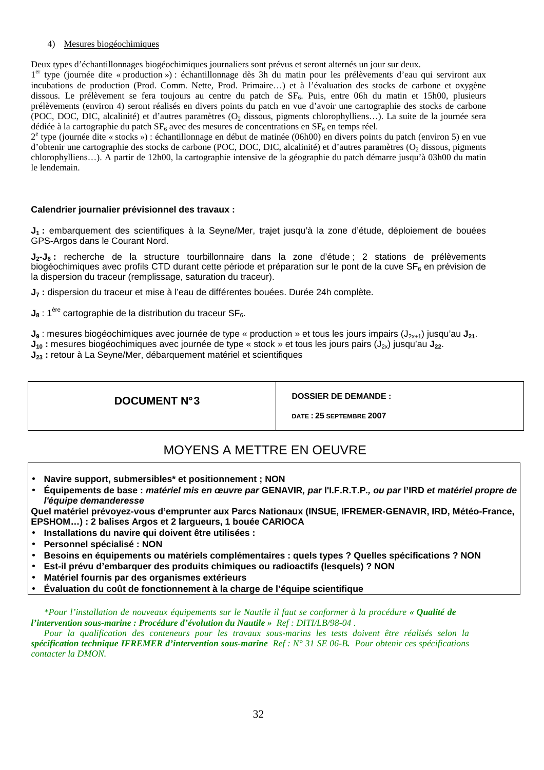### 4) Mesures biogéochimiques

Deux types d'échantillonnages biogéochimiques journaliers sont prévus et seront alternés un jour sur deux.

1<sup>er</sup> type (journée dite « production ») : échantillonnage dès 3h du matin pour les prélèvements d'eau qui serviront aux incubations de production (Prod. Comm. Nette, Prod. Primaire…) et à l'évaluation des stocks de carbone et oxygène dissous. Le prélèvement se fera toujours au centre du patch de SF<sub>6</sub>. Puis, entre 06h du matin et 15h00, plusieurs prélèvements (environ 4) seront réalisés en divers points du patch en vue d'avoir une cartographie des stocks de carbone (POC, DOC, DIC, alcalinité) et d'autres paramètres (O2 dissous, pigments chlorophylliens…). La suite de la journée sera dédiée à la cartographie du patch  $SF_6$  avec des mesures de concentrations en  $SF_6$  en temps réel.

2 e type (journée dite « stocks ») : échantillonnage en début de matinée (06h00) en divers points du patch (environ 5) en vue d'obtenir une cartographie des stocks de carbone (POC, DOC, DIC, alcalinité) et d'autres paramètres (O<sub>2</sub> dissous, pigments chlorophylliens…). A partir de 12h00, la cartographie intensive de la géographie du patch démarre jusqu'à 03h00 du matin le lendemain.

### **Calendrier journalier prévisionnel des travaux :**

**J1 :** embarquement des scientifiques à la Seyne/Mer, trajet jusqu'à la zone d'étude, déploiement de bouées GPS-Argos dans le Courant Nord.

**J2-J6 :** recherche de la structure tourbillonnaire dans la zone d'étude ; 2 stations de prélèvements biogéochimiques avec profils CTD durant cette période et préparation sur le pont de la cuve  $SF<sub>6</sub>$  en prévision de la dispersion du traceur (remplissage, saturation du traceur).

**J7 :** dispersion du traceur et mise à l'eau de différentes bouées. Durée 24h complète.

 $J_8$  : 1<sup>ère</sup> cartographie de la distribution du traceur SF<sub>6</sub>.

**J**<sub>9</sub> : mesures biogéochimiques avec journée de type « production » et tous les jours impairs (J<sub>2x+1</sub>) jusqu'au J<sub>21</sub>.  $J_{10}$  : mesures biogéochimiques avec journée de type « stock » et tous les jours pairs (J<sub>2x</sub>) jusqu'au J<sub>22</sub>.

**J23 :** retour à La Seyne/Mer, débarquement matériel et scientifiques

**DOCUMENT N° 3 DOSSIER DE DEMANDE :** 

**DATE : 25 SEPTEMBRE 2007** 

# MOYENS A METTRE EN OEUVRE

- **Navire support, submersibles\* et positionnement ; NON**
- **Équipements de base : matériel mis en œuvre par GENAVIR, par l'I.F.R.T.P., ou par l'IRD et matériel propre de l'équipe demanderesse**

**Quel matériel prévoyez-vous d'emprunter aux Parcs Nationaux (INSUE, IFREMER-GENAVIR, IRD, Météo-France, EPSHOM…) : 2 balises Argos et 2 largueurs, 1 bouée CARIOCA** 

- **Installations du navire qui doivent être utilisées :**
- **Personnel spécialisé : NON**
- **Besoins en équipements ou matériels complémentaires : quels types ? Quelles spécifications ? NON**
- **Est-il prévu d'embarquer des produits chimiques ou radioactifs (lesquels) ? NON**
- **Matériel fournis par des organismes extérieurs**
- **Évaluation du coût de fonctionnement à la charge de l'équipe scientifique**

*\*Pour l'installation de nouveaux équipements sur le Nautile il faut se conformer à la procédure « Qualité de l'intervention sous-marine : Procédure d'évolution du Nautile » Ref : DITI/LB/98-04 .* 

*Pour la qualification des conteneurs pour les travaux sous-marins les tests doivent être réalisés selon la spécification technique IFREMER d'intervention sous-marine Ref : N° 31 SE 06-B. Pour obtenir ces spécifications contacter la DMON.*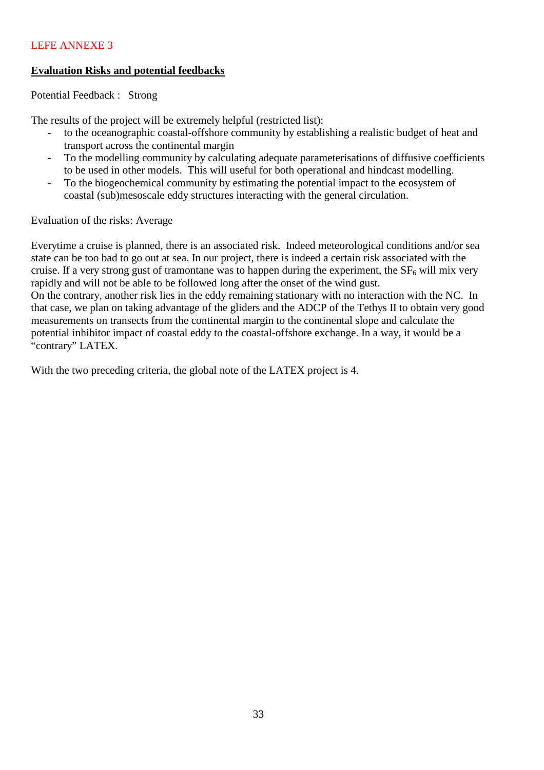# LEFE ANNEXE 3

# **Evaluation Risks and potential feedbacks**

Potential Feedback : Strong

The results of the project will be extremely helpful (restricted list):

- to the oceanographic coastal-offshore community by establishing a realistic budget of heat and transport across the continental margin
- To the modelling community by calculating adequate parameterisations of diffusive coefficients to be used in other models. This will useful for both operational and hindcast modelling.
- To the biogeochemical community by estimating the potential impact to the ecosystem of coastal (sub)mesoscale eddy structures interacting with the general circulation.

Evaluation of the risks: Average

Everytime a cruise is planned, there is an associated risk. Indeed meteorological conditions and/or sea state can be too bad to go out at sea. In our project, there is indeed a certain risk associated with the cruise. If a very strong gust of tramontane was to happen during the experiment, the  $SF<sub>6</sub>$  will mix very rapidly and will not be able to be followed long after the onset of the wind gust. On the contrary, another risk lies in the eddy remaining stationary with no interaction with the NC. In that case, we plan on taking advantage of the gliders and the ADCP of the Tethys II to obtain very good measurements on transects from the continental margin to the continental slope and calculate the potential inhibitor impact of coastal eddy to the coastal-offshore exchange. In a way, it would be a "contrary" LATEX.

With the two preceding criteria, the global note of the LATEX project is 4.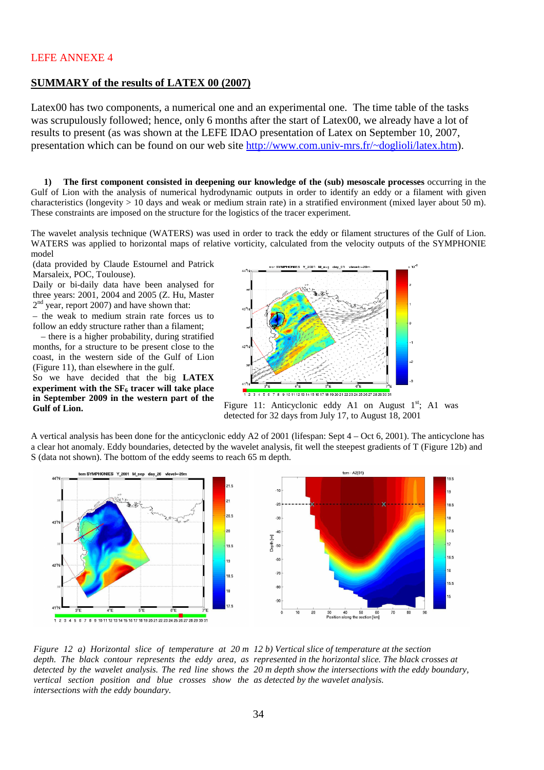### LEFE ANNEXE 4

### **SUMMARY of the results of LATEX 00 (2007)**

Latex00 has two components, a numerical one and an experimental one. The time table of the tasks was scrupulously followed; hence, only 6 months after the start of Latex00, we already have a lot of results to present (as was shown at the LEFE IDAO presentation of Latex on September 10, 2007, presentation which can be found on our web site http://www.com.univ-mrs.fr/~doglioli/latex.htm).

**1) The first component consisted in deepening our knowledge of the (sub) mesoscale processes** occurring in the Gulf of Lion with the analysis of numerical hydrodynamic outputs in order to identify an eddy or a filament with given characteristics (longevity  $> 10$  days and weak or medium strain rate) in a stratified environment (mixed layer about 50 m). These constraints are imposed on the structure for the logistics of the tracer experiment.

The wavelet analysis technique (WATERS) was used in order to track the eddy or filament structures of the Gulf of Lion. WATERS was applied to horizontal maps of relative vorticity, calculated from the velocity outputs of the SYMPHONIE model

(data provided by Claude Estournel and Patrick Marsaleix, POC, Toulouse).

Daily or bi-daily data have been analysed for three years: 2001, 2004 and 2005 (Z. Hu, Master  $2<sup>nd</sup>$  year, report 2007) and have shown that:

– the weak to medium strain rate forces us to follow an eddy structure rather than a filament;

– there is a higher probability, during stratified months, for a structure to be present close to the coast, in the western side of the Gulf of Lion (Figure 11), than elsewhere in the gulf.

So we have decided that the big **LATEX experiment with the SF6 tracer will take place in September 2009 in the western part of the** 



**Gulf of Lion. Gulf of Lion**. **Figure 11:** Anticyclonic eddy A1 on August 1<sup>st</sup>; A1 was detected for 32 days from July 17, to August 18, 2001

A vertical analysis has been done for the anticyclonic eddy A2 of 2001 (lifespan: Sept 4 – Oct 6, 2001). The anticyclone has a clear hot anomaly. Eddy boundaries, detected by the wavelet analysis, fit well the steepest gradients of T (Figure 12b) and S (data not shown). The bottom of the eddy seems to reach 65 m depth.



*Figure 12 a) Horizontal slice of temperature at 20 m 12 b) Vertical slice of temperature at the section*  depth. The black contour represents the eddy area, as represented in the horizontal slice. The black crosses at *detected by the wavelet analysis. The red line shows the 20 m depth show the intersections with the eddy boundary, vertical section position and blue crosses show the as detected by the wavelet analysis. intersections with the eddy boundary.*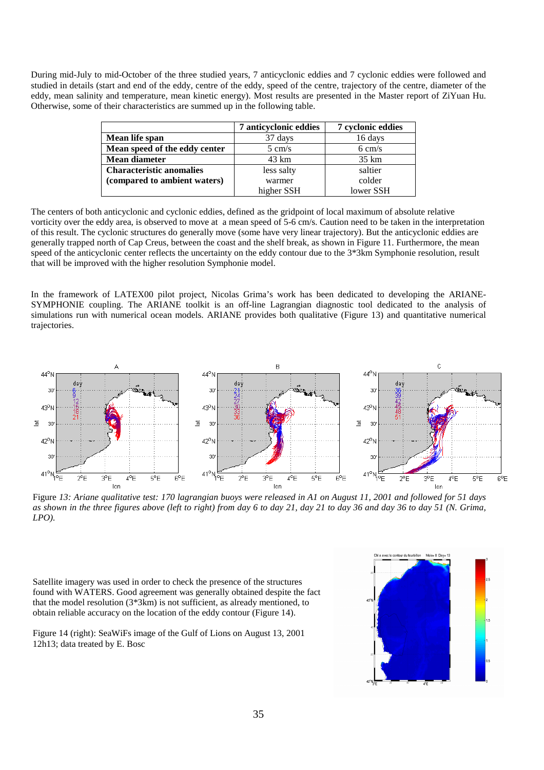During mid-July to mid-October of the three studied years, 7 anticyclonic eddies and 7 cyclonic eddies were followed and studied in details (start and end of the eddy, centre of the eddy, speed of the centre, trajectory of the centre, diameter of the eddy, mean salinity and temperature, mean kinetic energy). Most results are presented in the Master report of ZiYuan Hu. Otherwise, some of their characteristics are summed up in the following table.

|                                 | 7 anticyclonic eddies | 7 cyclonic eddies |
|---------------------------------|-----------------------|-------------------|
| Mean life span                  | 37 days               | 16 days           |
| Mean speed of the eddy center   | $5 \text{ cm/s}$      | $6 \text{ cm/s}$  |
| <b>Mean diameter</b>            | 43 km                 | $35 \text{ km}$   |
| <b>Characteristic anomalies</b> | less salty            | saltier           |
| (compared to ambient waters)    | warmer                | colder            |
|                                 | higher SSH            | lower SSH         |

The centers of both anticyclonic and cyclonic eddies, defined as the gridpoint of local maximum of absolute relative vorticity over the eddy area, is observed to move at a mean speed of 5-6 cm/s. Caution need to be taken in the interpretation of this result. The cyclonic structures do generally move (some have very linear trajectory). But the anticyclonic eddies are generally trapped north of Cap Creus, between the coast and the shelf break, as shown in Figure 11. Furthermore, the mean speed of the anticyclonic center reflects the uncertainty on the eddy contour due to the 3\*3km Symphonie resolution, result that will be improved with the higher resolution Symphonie model.

In the framework of LATEX00 pilot project, Nicolas Grima's work has been dedicated to developing the ARIANE-SYMPHONIE coupling. The ARIANE toolkit is an off-line Lagrangian diagnostic tool dedicated to the analysis of simulations run with numerical ocean models. ARIANE provides both qualitative (Figure 13) and quantitative numerical trajectories.



Figure *13: Ariane qualitative test: 170 lagrangian buoys were released in A1 on August 11, 2001 and followed for 51 days as shown in the three figures above (left to right) from day 6 to day 21, day 21 to day 36 and day 36 to day 51 (N. Grima, LPO).*

Satellite imagery was used in order to check the presence of the structures found with WATERS. Good agreement was generally obtained despite the fact that the model resolution (3\*3km) is not sufficient, as already mentioned, to obtain reliable accuracy on the location of the eddy contour (Figure 14).

Figure 14 (right): SeaWiFs image of the Gulf of Lions on August 13, 2001 12h13; data treated by E. Bosc

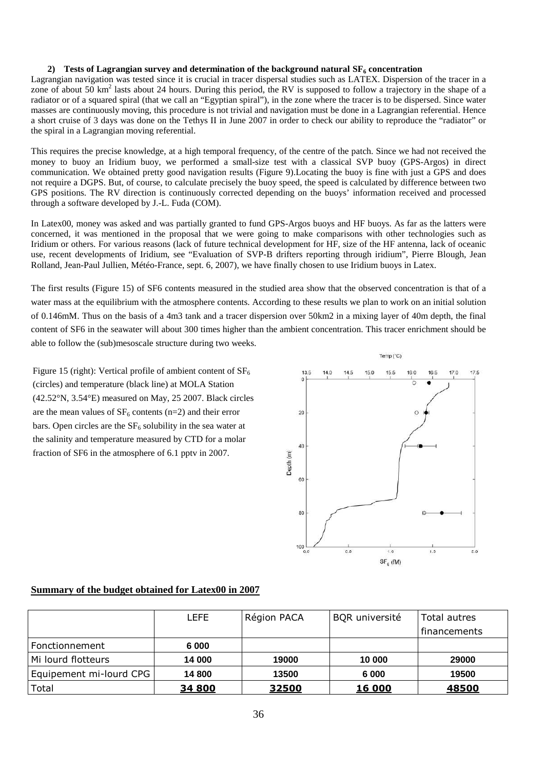#### **2) Tests of Lagrangian survey and determination of the background natural SF6 concentration**

Lagrangian navigation was tested since it is crucial in tracer dispersal studies such as LATEX. Dispersion of the tracer in a zone of about 50 km<sup>2</sup> lasts about 24 hours. During this period, the RV is supposed to follow a trajectory in the shape of a radiator or of a squared spiral (that we call an "Egyptian spiral"), in the zone where the tracer is to be dispersed. Since water masses are continuously moving, this procedure is not trivial and navigation must be done in a Lagrangian referential. Hence a short cruise of 3 days was done on the Tethys II in June 2007 in order to check our ability to reproduce the "radiator" or the spiral in a Lagrangian moving referential.

This requires the precise knowledge, at a high temporal frequency, of the centre of the patch. Since we had not received the money to buoy an Iridium buoy, we performed a small-size test with a classical SVP buoy (GPS-Argos) in direct communication. We obtained pretty good navigation results (Figure 9).Locating the buoy is fine with just a GPS and does not require a DGPS. But, of course, to calculate precisely the buoy speed, the speed is calculated by difference between two GPS positions. The RV direction is continuously corrected depending on the buoys' information received and processed through a software developed by J.-L. Fuda (COM).

In Latex00, money was asked and was partially granted to fund GPS-Argos buoys and HF buoys. As far as the latters were concerned, it was mentioned in the proposal that we were going to make comparisons with other technologies such as Iridium or others. For various reasons (lack of future technical development for HF, size of the HF antenna, lack of oceanic use, recent developments of Iridium, see "Evaluation of SVP-B drifters reporting through iridium", Pierre Blough, Jean Rolland, Jean-Paul Jullien, Météo-France, sept. 6, 2007), we have finally chosen to use Iridium buoys in Latex.

The first results (Figure 15) of SF6 contents measured in the studied area show that the observed concentration is that of a water mass at the equilibrium with the atmosphere contents. According to these results we plan to work on an initial solution of 0.146mM. Thus on the basis of a 4m3 tank and a tracer dispersion over 50km2 in a mixing layer of 40m depth, the final content of SF6 in the seawater will about 300 times higher than the ambient concentration. This tracer enrichment should be able to follow the (sub)mesoscale structure during two weeks.

Figure 15 (right): Vertical profile of ambient content of  $SF<sub>6</sub>$ (circles) and temperature (black line) at MOLA Station (42.52°N, 3.54°E) measured on May, 25 2007. Black circles are the mean values of  $SF_6$  contents (n=2) and their error bars. Open circles are the  $SF<sub>6</sub>$  solubility in the sea water at the salinity and temperature measured by CTD for a molar fraction of SF6 in the atmosphere of 6.1 pptv in 2007.



### **Summary of the budget obtained for Latex00 in 2007**

|                         | LEFE   | Région PACA | <b>BQR</b> université | Total autres |
|-------------------------|--------|-------------|-----------------------|--------------|
|                         |        |             |                       | financements |
| Fonctionnement          | 6 000  |             |                       |              |
| Mi lourd flotteurs      | 14 000 | 19000       | 10 000                | 29000        |
| Equipement mi-lourd CPG | 14 800 | 13500       | 6 000                 | 19500        |
| Total                   | 34 800 | 32500       | 16 000                | 48500        |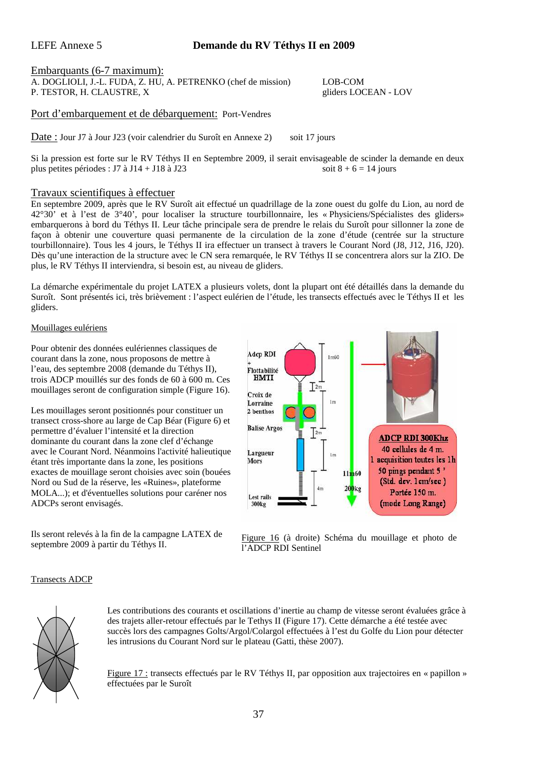### LEFE Annexe 5 **Demande du RV Téthys II en 2009**

Embarquants (6-7 maximum):

A. DOGLIOLI, J.-L. FUDA, Z. HU, A. PETRENKO (chef de mission) LOB-COM P. TESTOR, H. CLAUSTRE, X gliders LOCEAN - LOV

Port d'embarquement et de débarquement: Port-Vendres

Date : Jour J7 à Jour J23 (voir calendrier du Suroît en Annexe 2) soit 17 jours

Si la pression est forte sur le RV Téthys II en Septembre 2009, il serait envisageable de scinder la demande en deux plus petites périodes : J7 à J14 + J18 à J23 soit  $8 + 6 = 14$  jours

### Travaux scientifiques à effectuer

En septembre 2009, après que le RV Suroît ait effectué un quadrillage de la zone ouest du golfe du Lion, au nord de 42°30' et à l'est de 3°40', pour localiser la structure tourbillonnaire, les « Physiciens/Spécialistes des gliders» embarquerons à bord du Téthys II. Leur tâche principale sera de prendre le relais du Suroît pour sillonner la zone de façon à obtenir une couverture quasi permanente de la circulation de la zone d'étude (centrée sur la structure tourbillonnaire). Tous les 4 jours, le Téthys II ira effectuer un transect à travers le Courant Nord (J8, J12, J16, J20). Dès qu'une interaction de la structure avec le CN sera remarquée, le RV Téthys II se concentrera alors sur la ZIO. De plus, le RV Téthys II interviendra, si besoin est, au niveau de gliders.

La démarche expérimentale du projet LATEX a plusieurs volets, dont la plupart ont été détaillés dans la demande du Suroît. Sont présentés ici, très brièvement : l'aspect eulérien de l'étude, les transects effectués avec le Téthys II et les gliders.

### Mouillages eulériens

Pour obtenir des données eulériennes classiques de courant dans la zone, nous proposons de mettre à l'eau, des septembre 2008 (demande du Téthys II), trois ADCP mouillés sur des fonds de 60 à 600 m. Ces mouillages seront de configuration simple (Figure 16).

Les mouillages seront positionnés pour constituer un transect cross-shore au large de Cap Béar (Figure 6) et permettre d'évaluer l'intensité et la direction dominante du courant dans la zone clef d'échange avec le Courant Nord. Néanmoins l'activité halieutique étant très importante dans la zone, les positions exactes de mouillage seront choisies avec soin (bouées Nord ou Sud de la réserve, les «Ruines», plateforme MOLA...); et d'éventuelles solutions pour caréner nos ADCPs seront envisagés.

Ils seront relevés à la fin de la campagne LATEX de septembre 2009 à partir du Téthys II.



Figure 16 (à droite) Schéma du mouillage et photo de l'ADCP RDI Sentinel

### Transects ADCP



Les contributions des courants et oscillations d'inertie au champ de vitesse seront évaluées grâce à des trajets aller-retour effectués par le Tethys II (Figure 17). Cette démarche a été testée avec succès lors des campagnes Golts/Argol/Colargol effectuées à l'est du Golfe du Lion pour détecter les intrusions du Courant Nord sur le plateau (Gatti, thèse 2007).

Figure 17 : transects effectués par le RV Téthys II, par opposition aux trajectoires en « papillon » effectuées par le Suroît